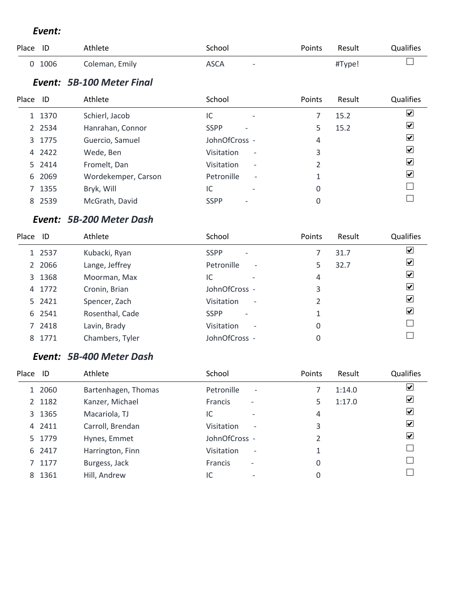#### *Event:*

| Place | ID        | Athlete                   | School                                  | Points | Result | Qualifies                     |
|-------|-----------|---------------------------|-----------------------------------------|--------|--------|-------------------------------|
| 0     | 1006      | Coleman, Emily            | <b>ASCA</b><br>$\overline{\phantom{a}}$ |        | #Type! |                               |
|       |           | Event: 5B-100 Meter Final |                                         |        |        |                               |
| Place | ID        | Athlete                   | School                                  | Points | Result | Qualifies                     |
|       | 1 1370    | Schierl, Jacob            | IC<br>$\overline{\phantom{0}}$          | 7      | 15.2   | $\blacktriangledown$          |
|       | 2 2 5 3 4 | Hanrahan, Connor          | <b>SSPP</b>                             | 5      | 15.2   | $ \mathbf{v} $                |
|       | 3 1775    | Guercio, Samuel           | JohnOfCross -                           | 4      |        | $\blacktriangledown$          |
|       | 4 2422    | Wede, Ben                 | Visitation<br>$\overline{\phantom{a}}$  | 3      |        | ⊻                             |
|       | 5 2414    | Fromelt, Dan              | Visitation<br>$\overline{\phantom{a}}$  | 2      |        | ⊻                             |
| 6     | 2069      | Wordekemper, Carson       | Petronille<br>$\overline{\phantom{a}}$  |        |        | $\vert \bm{\mathsf{v}} \vert$ |
|       | 7 1355    | Bryk, Will                | IC                                      | 0      |        |                               |
| 8     | 2539      | McGrath, David            | <b>SSPP</b>                             | 0      |        |                               |

### *Event: 5B-200 Meter Dash*

| Place ID |        | Athlete         | School                                        | Points | Result | Qualifies                    |
|----------|--------|-----------------|-----------------------------------------------|--------|--------|------------------------------|
|          | 1 2537 | Kubacki, Ryan   | <b>SSPP</b><br>$\overline{\phantom{a}}$       |        | 31.7   | $\overline{\mathbf{v}}$      |
|          | 2 2066 | Lange, Jeffrey  | Petronille<br>$\overline{\phantom{a}}$        | 5      | 32.7   | $\boxed{\blacktriangledown}$ |
|          | 3 1368 | Moorman, Max    | IC<br>$\overline{\phantom{0}}$                | 4      |        | $\boxed{\blacktriangledown}$ |
|          | 4 1772 | Cronin, Brian   | JohnOfCross -                                 | 3      |        | ☑                            |
|          | 5 2421 | Spencer, Zach   | <b>Visitation</b><br>$\overline{\phantom{a}}$ | 2      |        | $\boxed{\checkmark}$         |
|          | 6 2541 | Rosenthal, Cade | <b>SSPP</b><br>$\overline{\phantom{a}}$       | 1      |        | ☑                            |
|          | 7 2418 | Lavin, Brady    | <b>Visitation</b><br>$\overline{\phantom{a}}$ | 0      |        |                              |
| 8        | 1771   | Chambers, Tyler | JohnOfCross -                                 | 0      |        |                              |

#### *Event: 5B-400 Meter Dash*

| Place ID |        | Athlete             | School                                     | Points | Result | <b>Qualifies</b>        |
|----------|--------|---------------------|--------------------------------------------|--------|--------|-------------------------|
|          | 1 2060 | Bartenhagen, Thomas | Petronille<br>$\overline{\phantom{a}}$     |        | 1:14.0 | ⊻                       |
|          | 2 1182 | Kanzer, Michael     | <b>Francis</b><br>$\overline{\phantom{a}}$ | 5      | 1:17.0 | $\blacktriangleright$   |
|          | 3 1365 | Macariola, TJ       | IC                                         | 4      |        | ⊻                       |
|          | 4 2411 | Carroll, Brendan    | Visitation<br>$\overline{\phantom{a}}$     | 3      |        | $\vert \checkmark\vert$ |
|          | 5 1779 | Hynes, Emmet        | JohnOfCross -                              |        |        | $\vert \checkmark\vert$ |
|          | 6 2417 | Harrington, Finn    | Visitation<br>$\overline{\phantom{a}}$     | 1      |        |                         |
|          | 7 1177 | Burgess, Jack       | <b>Francis</b><br>$\overline{\phantom{a}}$ | 0      |        |                         |
| 8        | 1361   | Hill, Andrew        | IC                                         | 0      |        |                         |
|          |        |                     |                                            |        |        |                         |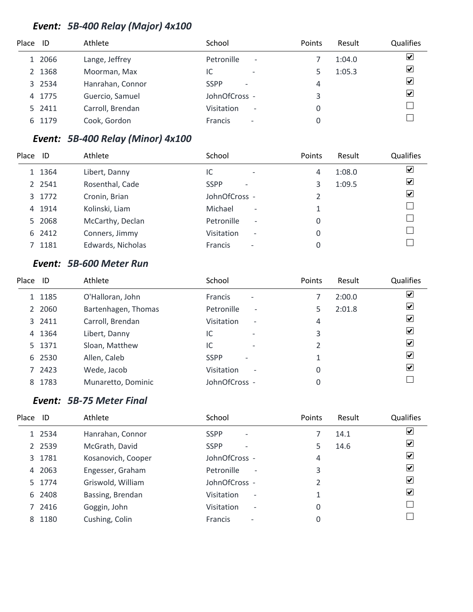# *Event: 5B-400 Relay (Major) 4x100*

| Place ID |        | Athlete          | School                                  | Points | Result | Qualifies               |
|----------|--------|------------------|-----------------------------------------|--------|--------|-------------------------|
|          | 1 2066 | Lange, Jeffrey   | Petronille<br>$\overline{\phantom{a}}$  |        | 1:04.0 | $\blacktriangledown$    |
|          | 2 1368 | Moorman, Max     | IC<br>$\overline{\phantom{0}}$          |        | 1:05.3 | $\blacktriangledown$    |
|          | 3 2534 | Hanrahan, Connor | <b>SSPP</b><br>$\overline{\phantom{a}}$ | 4      |        | $\overline{\mathbf{v}}$ |
|          | 4 1775 | Guercio, Samuel  | JohnOfCross -                           | 3      |        | $\blacktriangledown$    |
|          | 5 2411 | Carroll, Brendan | Visitation<br>$\overline{\phantom{a}}$  |        |        |                         |
|          | 6 1179 | Cook, Gordon     | Francis<br>$\overline{\phantom{a}}$     |        |        |                         |

# *Event: 5B-400 Relay (Minor) 4x100*

| Place | ID        | Athlete           | School                                        | Points | Result | Qualifies |
|-------|-----------|-------------------|-----------------------------------------------|--------|--------|-----------|
|       | 1 1364    | Libert, Danny     | IC<br>$\overline{\phantom{a}}$                | 4      | 1:08.0 | ⊻         |
|       | 2 2 5 4 1 | Rosenthal, Cade   | <b>SSPP</b><br>$\overline{\phantom{0}}$       | 3      | 1:09.5 | ☑         |
|       | 3 1772    | Cronin, Brian     | JohnOfCross -                                 |        |        | ☑         |
|       | 4 1914    | Kolinski, Liam    | Michael<br>$\overline{\phantom{a}}$           |        |        |           |
|       | 5 2068    | McCarthy, Declan  | Petronille<br>$\overline{\phantom{a}}$        | 0      |        |           |
|       | 6 2412    | Conners, Jimmy    | <b>Visitation</b><br>$\overline{\phantom{a}}$ | 0      |        |           |
|       | 7 1181    | Edwards, Nicholas | <b>Francis</b><br>$\qquad \qquad$             | 0      |        |           |

#### *Event: 5B-600 Meter Run*

| Place | - ID   | Athlete             | School                                  | Points | Result | <b>Qualifies</b>        |
|-------|--------|---------------------|-----------------------------------------|--------|--------|-------------------------|
|       | 1 1185 | O'Halloran, John    | Francis<br>$\overline{\phantom{a}}$     |        | 2:00.0 | $\overline{\mathbf{v}}$ |
|       | 2 2060 | Bartenhagen, Thomas | Petronille<br>$\overline{\phantom{a}}$  |        | 2:01.8 | ⊻                       |
|       | 3 2411 | Carroll, Brendan    | Visitation<br>$\overline{\phantom{a}}$  | 4      |        | $\blacktriangledown$    |
|       | 4 1364 | Libert, Danny       | IC<br>$\overline{\phantom{0}}$          | 3      |        | ⊻                       |
|       | 5 1371 | Sloan, Matthew      | IC<br>$\overline{\phantom{0}}$          |        |        | ⊻                       |
|       | 6 2530 | Allen, Caleb        | <b>SSPP</b><br>$\overline{\phantom{0}}$ |        |        | $\vert \checkmark$      |
|       | 7 2423 | Wede, Jacob         | Visitation<br>$\overline{\phantom{a}}$  | 0      |        | $\overline{\mathbf{v}}$ |
| 8     | 1783   | Munaretto, Dominic  | JohnOfCross -                           | 0      |        |                         |

# *Event: 5B-75 Meter Final*

| Place | ID        | Athlete            | School                                        | Points        | Result | Qualifies          |
|-------|-----------|--------------------|-----------------------------------------------|---------------|--------|--------------------|
|       | 1 2534    | Hanrahan, Connor   | <b>SSPP</b><br>$\overline{\phantom{a}}$       |               | 14.1   | $\vert \checkmark$ |
|       | 2 2 5 3 9 | McGrath, David     | <b>SSPP</b><br>$\overline{a}$                 | 5             | 14.6   | $ \boldsymbol{v} $ |
|       | 3 1781    | Kosanovich, Cooper | JohnOfCross -                                 | 4             |        | $ \mathbf{v} $     |
|       | 4 2063    | Engesser, Graham   | Petronille<br>$\overline{\phantom{a}}$        | 3             |        | $ \mathbf{v} $     |
|       | 5 1774    | Griswold, William  | JohnOfCross -                                 | $\mathfrak z$ |        | $ \boldsymbol{v} $ |
|       | 6 2408    | Bassing, Brendan   | Visitation<br>$\overline{\phantom{a}}$        |               |        | $ \mathbf{v} $     |
|       | 7 2416    | Goggin, John       | <b>Visitation</b><br>$\overline{\phantom{a}}$ | 0             |        |                    |
|       | 8 1180    | Cushing, Colin     | <b>Francis</b><br>$\overline{\phantom{a}}$    | 0             |        |                    |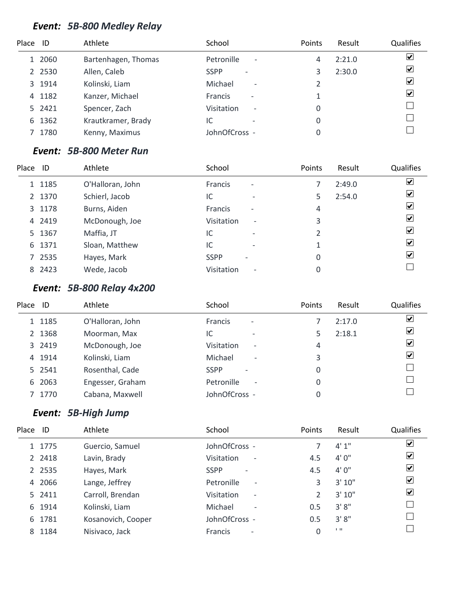# *Event: 5B-800 Medley Relay*

| Place ID |           | Athlete             | School                                        | Points | Result | <b>Qualifies</b>        |
|----------|-----------|---------------------|-----------------------------------------------|--------|--------|-------------------------|
|          | 1 2060    | Bartenhagen, Thomas | Petronille<br>$\overline{\phantom{a}}$        | 4      | 2:21.0 | $\blacktriangledown$    |
|          | 2 2 5 3 0 | Allen, Caleb        | <b>SSPP</b><br>$\overline{\phantom{a}}$       |        | 2:30.0 | $\overline{\mathbf{v}}$ |
|          | 3 1914    | Kolinski, Liam      | Michael<br>$\overline{\phantom{a}}$           |        |        | $\overline{\mathbf{v}}$ |
|          | 4 1182    | Kanzer, Michael     | Francis<br>$\overline{\phantom{a}}$           |        |        | $\blacktriangledown$    |
|          | 5 2421    | Spencer, Zach       | <b>Visitation</b><br>$\overline{\phantom{a}}$ | 0      |        |                         |
| 6        | 1362      | Krautkramer, Brady  | IC                                            | 0      |        |                         |
|          | 1780      | Kenny, Maximus      | JohnOfCross -                                 |        |        |                         |

# *Event: 5B-800 Meter Run*

| Place | - ID   | Athlete          | School                                     | Points | Result | Qualifies                    |
|-------|--------|------------------|--------------------------------------------|--------|--------|------------------------------|
|       | 1 1185 | O'Halloran, John | <b>Francis</b><br>$\overline{\phantom{a}}$ |        | 2:49.0 | $\boxed{\blacktriangledown}$ |
|       | 2 1370 | Schierl, Jacob   | IC<br>$\overline{\phantom{0}}$             | 5      | 2:54.0 | $\boxed{\blacktriangledown}$ |
|       | 3 1178 | Burns, Aiden     | Francis<br>$\qquad \qquad$                 | 4      |        | $\boxed{\checkmark}$         |
|       | 4 2419 | McDonough, Joe   | Visitation<br>$\overline{\phantom{a}}$     | 3      |        | $\overline{\mathbf{v}}$      |
|       | 5 1367 | Maffia, JT       | IC<br>$\overline{\phantom{0}}$             |        |        | $\overline{\mathbf{v}}$      |
|       | 6 1371 | Sloan, Matthew   | IC<br>$\overline{\phantom{0}}$             |        |        | $\overline{\mathbf{v}}$      |
|       | 7 2535 | Hayes, Mark      | <b>SSPP</b>                                | 0      |        | $\blacktriangleright$        |
|       | 8 2423 | Wede, Jacob      | Visitation<br>$\overline{\phantom{a}}$     |        |        |                              |

# *Event: 5B-800 Relay 4x200*

| Place ID |        | Athlete          | School                                     | Points | Result | <b>Qualifies</b>        |
|----------|--------|------------------|--------------------------------------------|--------|--------|-------------------------|
|          | 1 1185 | O'Halloran, John | <b>Francis</b><br>$\overline{\phantom{a}}$ |        | 2:17.0 | ⊻                       |
|          | 2 1368 | Moorman, Max     | IC<br>$\overline{\phantom{0}}$             |        | 2:18.1 | $\boxed{\checkmark}$    |
|          | 3 2419 | McDonough, Joe   | Visitation<br>$\overline{\phantom{a}}$     | 4      |        | $\blacktriangledown$    |
|          | 4 1914 | Kolinski, Liam   | Michael<br>$\overline{\phantom{a}}$        | 3      |        | $\overline{\mathbf{v}}$ |
|          | 5 2541 | Rosenthal, Cade  | <b>SSPP</b><br>$\overline{\phantom{0}}$    | 0      |        |                         |
|          | 6 2063 | Engesser, Graham | Petronille<br>$\overline{\phantom{a}}$     | 0      |        |                         |
|          | 1770   | Cabana, Maxwell  | JohnOfCross -                              | 0      |        |                         |
|          |        |                  |                                            |        |        |                         |

# *Event: 5B-High Jump*

| Place ID |           | Athlete            | School                                     | Points        | Result | Qualifies            |
|----------|-----------|--------------------|--------------------------------------------|---------------|--------|----------------------|
|          | 1 1775    | Guercio, Samuel    | JohnOfCross -                              |               | 4'1''  | ☑                    |
|          | 2 2418    | Lavin, Brady       | Visitation<br>$\overline{\phantom{a}}$     | 4.5           | 4'0''  | ☑                    |
|          | 2 2 5 3 5 | Hayes, Mark        | <b>SSPP</b><br>$\overline{\phantom{a}}$    | 4.5           | 4'0''  | ☑                    |
|          | 4 2066    | Lange, Jeffrey     | Petronille<br>$\overline{\phantom{a}}$     | 3             | 3'10'' | $\blacktriangledown$ |
|          | 5 2411    | Carroll, Brendan   | Visitation<br>$\overline{\phantom{a}}$     | $\mathcal{P}$ | 3'10'' | $\boxed{\checkmark}$ |
|          | 6 1914    | Kolinski, Liam     | Michael<br>$\overline{\phantom{a}}$        | 0.5           | 3'8''  |                      |
|          | 6 1781    | Kosanovich, Cooper | JohnOfCross -                              | 0.5           | 3'8''  |                      |
| 8        | 1184      | Nisivaco, Jack     | <b>Francis</b><br>$\overline{\phantom{a}}$ | 0             | 1.11   |                      |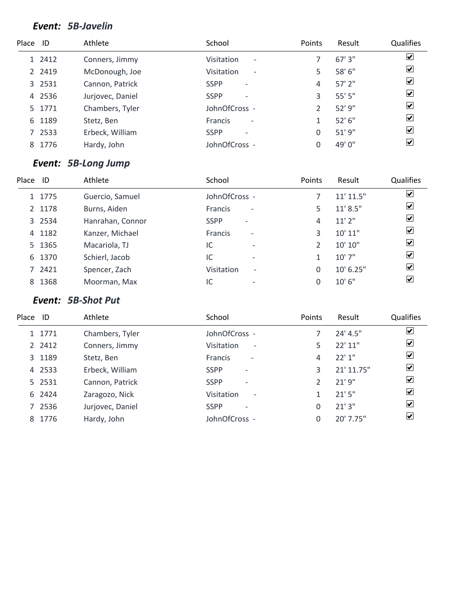#### *Event: 5B-Javelin*

| Place ID |        | Athlete          | School                                        | Points | Result      | <b>Qualifies</b>        |
|----------|--------|------------------|-----------------------------------------------|--------|-------------|-------------------------|
|          | 1 2412 | Conners, Jimmy   | <b>Visitation</b><br>$\overline{\phantom{a}}$ |        | 67'3''      | $\blacktriangledown$    |
|          | 2 2419 | McDonough, Joe   | Visitation<br>$\overline{\phantom{a}}$        | 5      | 58' 6"      | $\overline{\mathbf{v}}$ |
|          | 3 2531 | Cannon, Patrick  | <b>SSPP</b><br>$\overline{\phantom{a}}$       | 4      | $57'$ $2''$ | $\overline{\mathbf{v}}$ |
|          | 4 2536 | Jurjovec, Daniel | <b>SSPP</b><br>$\overline{\phantom{a}}$       | 3      | 55' 5"      | $\overline{\mathbf{v}}$ |
|          | 5 1771 | Chambers, Tyler  | JohnOfCross -                                 |        | 52'9''      | $\overline{\mathbf{v}}$ |
| 6        | 1189   | Stetz, Ben       | <b>Francis</b><br>$\overline{\phantom{a}}$    |        | 52'6''      | $\overline{\mathbf{v}}$ |
|          | 7 2533 | Erbeck, William  | <b>SSPP</b><br>$\overline{\phantom{a}}$       | 0      | 51'9''      | $\overline{\mathbf{v}}$ |
| 8        | 1776   | Hardy, John      | JohnOfCross -                                 |        | 49' 0"      | ☑                       |

# *Event: 5B-Long Jump*

| Place | ID     | Athlete          | School                                        | Points | Result        | <b>Qualifies</b>             |
|-------|--------|------------------|-----------------------------------------------|--------|---------------|------------------------------|
|       | 1 1775 | Guercio, Samuel  | JohnOfCross -                                 |        | $11'$ $11.5"$ | $\boxed{\blacktriangledown}$ |
|       | 2 1178 | Burns, Aiden     | <b>Francis</b><br>$\overline{\phantom{a}}$    | 5      | 11' 8.5''     | $\overline{\mathbf{v}}$      |
|       | 3 2534 | Hanrahan, Connor | <b>SSPP</b><br>$\overline{\phantom{a}}$       | 4      | 11'2''        | $\overline{\mathbf{v}}$      |
|       | 4 1182 | Kanzer, Michael  | Francis<br>$\overline{\phantom{a}}$           | 3      | 10'11''       | $\overline{\mathbf{v}}$      |
|       | 5 1365 | Macariola, TJ    | IC<br>$\overline{\phantom{0}}$                |        | 10' 10"       | $\overline{\mathbf{v}}$      |
|       | 6 1370 | Schierl, Jacob   | IC<br>$\overline{\phantom{a}}$                |        | 10'7''        | $\overline{\mathbf{v}}$      |
|       | 7 2421 | Spencer, Zach    | <b>Visitation</b><br>$\overline{\phantom{a}}$ | 0      | 10' 6.25"     | $\blacktriangleright$        |
|       | 8 1368 | Moorman, Max     | IC<br>$\overline{\phantom{a}}$                |        | 10'6''        | $ \boldsymbol{v} $           |

# *Event: 5B-Shot Put*

| Place | ID     | Athlete          | School                                     | Points   | Result     | Qualifies               |
|-------|--------|------------------|--------------------------------------------|----------|------------|-------------------------|
|       | 1 1771 | Chambers, Tyler  | JohnOfCross -                              |          | 24' 4.5"   | ⊻                       |
|       | 2 2412 | Conners, Jimmy   | Visitation<br>$\overline{\phantom{a}}$     | 5.       | 22'11''    | $\blacktriangledown$    |
|       | 3 1189 | Stetz, Ben       | <b>Francis</b><br>$\overline{\phantom{a}}$ | 4        | 22'1''     | $\blacktriangledown$    |
|       | 4 2533 | Erbeck, William  | <b>SSPP</b><br>$\overline{\phantom{a}}$    | 3        | 21' 11.75" | $\blacktriangledown$    |
|       | 5 2531 | Cannon, Patrick  | <b>SSPP</b><br>$\overline{\phantom{a}}$    |          | 21'9''     | $\blacktriangledown$    |
|       | 6 2424 | Zaragozo, Nick   | Visitation<br>$\overline{\phantom{a}}$     |          | 21'5''     | $\blacktriangledown$    |
|       | 7 2536 | Jurjovec, Daniel | <b>SSPP</b><br>$\overline{\phantom{a}}$    | $\Omega$ | 21'3''     | $\blacktriangledown$    |
|       | 8 1776 | Hardy, John      | JohnOfCross -                              | $\Omega$ | 20' 7.75"  | $\vert \checkmark\vert$ |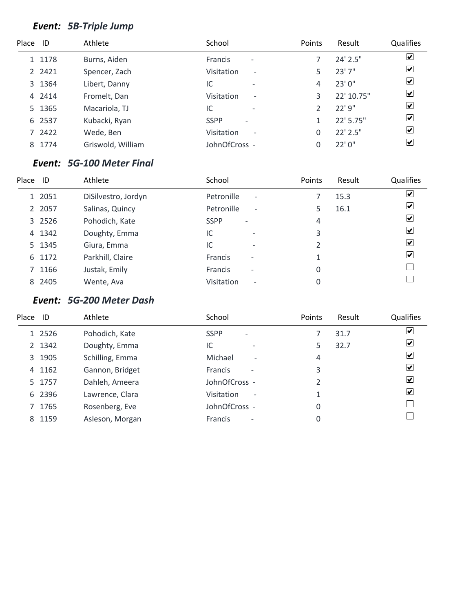# *Event: 5B-Triple Jump*

| Place ID |        | Athlete           | School                                     | Points | Result        | Qualifies               |
|----------|--------|-------------------|--------------------------------------------|--------|---------------|-------------------------|
|          | 1 1178 | Burns, Aiden      | <b>Francis</b><br>$\overline{\phantom{a}}$ |        | $24'$ $2.5''$ | $\overline{\mathbf{v}}$ |
|          | 2 2421 | Spencer, Zach     | Visitation<br>$\overline{\phantom{a}}$     |        | 23'7''        | $\overline{\mathbf{v}}$ |
|          | 3 1364 | Libert, Danny     | IC<br>$\overline{\phantom{0}}$             | 4      | 23' 0"        | $\overline{\mathbf{v}}$ |
|          | 4 2414 | Fromelt, Dan      | Visitation<br>$\overline{\phantom{a}}$     | 3      | 22' 10.75"    | $\overline{\mathbf{v}}$ |
|          | 5 1365 | Macariola, TJ     | IC<br>$\overline{\phantom{0}}$             |        | 22' 9"        | $\blacktriangleright$   |
|          | 6 2537 | Kubacki, Ryan     | <b>SSPP</b><br>$\overline{\phantom{a}}$    |        | 22' 5.75"     | $\overline{\mathbf{v}}$ |
|          | 7 2422 | Wede, Ben         | Visitation<br>$\overline{\phantom{a}}$     |        | $22'$ 2.5"    | ☑                       |
| 8        | 1774   | Griswold, William | JohnOfCross -                              |        | 22'0''        | ☑                       |

#### *Event: 5G-100 Meter Final*

| Place | ID     | Athlete             | School                                     | Points | Result | <b>Qualifies</b>             |
|-------|--------|---------------------|--------------------------------------------|--------|--------|------------------------------|
|       | 1 2051 | DiSilvestro, Jordyn | Petronille<br>$\overline{\phantom{a}}$     |        | 15.3   | $\boxed{\blacktriangledown}$ |
|       | 2 2057 | Salinas, Quincy     | Petronille<br>$\overline{\phantom{a}}$     |        | 16.1   | ⊻                            |
|       | 3 2526 | Pohodich, Kate      | <b>SSPP</b><br>$\overline{\phantom{a}}$    | 4      |        | $\overline{\mathbf{v}}$      |
|       | 4 1342 | Doughty, Emma       | IC<br>$\overline{\phantom{0}}$             | 3      |        | $\overline{\mathbf{v}}$      |
|       | 5 1345 | Giura, Emma         | IC<br>$\overline{\phantom{0}}$             | 2      |        | ⊻                            |
|       | 6 1172 | Parkhill, Claire    | <b>Francis</b><br>$\overline{\phantom{a}}$ |        |        | $\blacktriangledown$         |
|       | 7 1166 | Justak, Emily       | <b>Francis</b><br>$\overline{\phantom{a}}$ | 0      |        |                              |
|       | 8 2405 | Wente, Ava          | Visitation<br>$\overline{\phantom{a}}$     |        |        |                              |

# *Event: 5G-200 Meter Dash*

| Place ID |        | Athlete         | School                                     | Points | Result | Qualifies                   |
|----------|--------|-----------------|--------------------------------------------|--------|--------|-----------------------------|
|          | 1 2526 | Pohodich, Kate  | <b>SSPP</b><br>$\overline{\phantom{a}}$    |        | 31.7   | ⊻                           |
|          | 2 1342 | Doughty, Emma   | IC                                         | 5      | 32.7   | ⊻                           |
|          | 3 1905 | Schilling, Emma | Michael<br>$\overline{\phantom{a}}$        | 4      |        | v                           |
|          | 4 1162 | Gannon, Bridget | <b>Francis</b>                             | 3      |        | $\vert \checkmark \vert$    |
|          | 5 1757 | Dahleh, Ameera  | JohnOfCross -                              |        |        | $\vert \checkmark \vert$    |
|          | 6 2396 | Lawrence, Clara | Visitation<br>$\overline{\phantom{a}}$     |        |        | $\left  \mathbf{v} \right $ |
|          | 7 1765 | Rosenberg, Eve  | JohnOfCross -                              | 0      |        |                             |
|          | 8 1159 | Asleson, Morgan | <b>Francis</b><br>$\overline{\phantom{a}}$ | 0      |        |                             |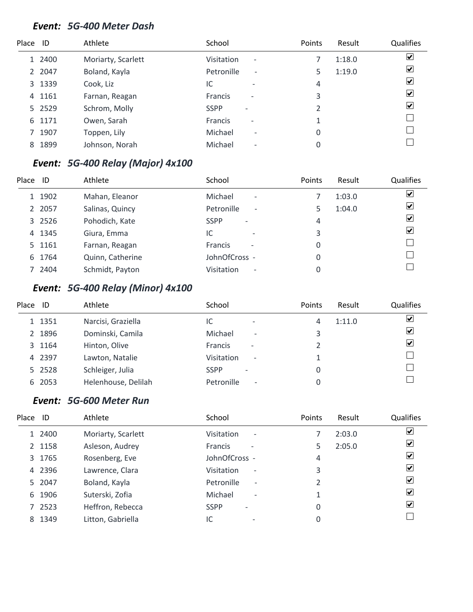#### *Event: 5G-400 Meter Dash*

| $\blacktriangledown$ |
|----------------------|
| $\blacktriangledown$ |
| $\blacktriangledown$ |
| $\blacktriangledown$ |
| $\blacktriangledown$ |
|                      |
|                      |
|                      |
|                      |

# *Event: 5G-400 Relay (Major) 4x100*

| Place | ID     | Athlete          | School                                        | Points | Result | Qualifies                    |
|-------|--------|------------------|-----------------------------------------------|--------|--------|------------------------------|
|       | 1 1902 | Mahan, Eleanor   | Michael<br>$\overline{\phantom{a}}$           |        | 1:03.0 | $\boxed{\blacktriangledown}$ |
|       | 2 2057 | Salinas, Quincy  | Petronille<br>$\overline{\phantom{a}}$        |        | 1:04.0 | $\overline{\mathbf{v}}$      |
|       | 3 2526 | Pohodich, Kate   | <b>SSPP</b><br>$\overline{\phantom{a}}$       | 4      |        | $\overline{\mathbf{v}}$      |
|       | 4 1345 | Giura, Emma      | IC<br>$\overline{\phantom{0}}$                | 3      |        | $\overline{\mathbf{v}}$      |
|       | 5 1161 | Farnan, Reagan   | <b>Francis</b><br>$\overline{\phantom{a}}$    | 0      |        |                              |
|       | 6 1764 | Quinn, Catherine | JohnOfCross -                                 | 0      |        |                              |
|       | 7 2404 | Schmidt, Payton  | <b>Visitation</b><br>$\overline{\phantom{a}}$ |        |        |                              |

# *Event: 5G-400 Relay (Minor) 4x100*

| Place | ID     | Athlete             | School                                        | <b>Points</b> | Result | Qualifies            |
|-------|--------|---------------------|-----------------------------------------------|---------------|--------|----------------------|
|       | 1 1351 | Narcisi, Graziella  | IC<br>$\overline{\phantom{0}}$                | 4             | 1:11.0 | $\blacktriangledown$ |
|       | 2 1896 | Dominski, Camila    | Michael<br>$\overline{\phantom{a}}$           | 3             |        | $\blacktriangledown$ |
|       | 3 1164 | Hinton, Olive       | <b>Francis</b><br>$\overline{\phantom{a}}$    |               |        | $\blacktriangledown$ |
|       | 4 2397 | Lawton, Natalie     | <b>Visitation</b><br>$\overline{\phantom{a}}$ |               |        |                      |
|       | 5 2528 | Schleiger, Julia    | <b>SSPP</b><br>$\qquad \qquad$                |               |        |                      |
|       | 6 2053 | Helenhouse, Delilah | Petronille<br>$\overline{\phantom{a}}$        |               |        |                      |

# *Event: 5G-600 Meter Run*

| ☑ |
|---|
| ⊻ |
| ⊻ |
| ⊻ |
| ⊻ |
| ⊻ |
| ⊻ |
|   |
|   |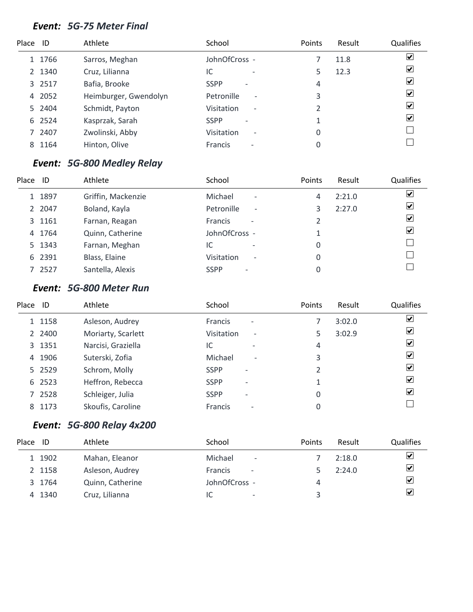#### *Event: 5G-75 Meter Final*

| Place ID |        | Athlete               | School                                     | Points | Result | Qualifies               |
|----------|--------|-----------------------|--------------------------------------------|--------|--------|-------------------------|
|          | 1 1766 | Sarros, Meghan        | JohnOfCross -                              |        | 11.8   | $\blacktriangledown$    |
|          | 2 1340 | Cruz, Lilianna        | IC<br>$\overline{\phantom{a}}$             |        | 12.3   | $\blacktriangledown$    |
|          | 3 2517 | Bafia, Brooke         | <b>SSPP</b><br>$\overline{\phantom{a}}$    | 4      |        | $\overline{\mathbf{v}}$ |
|          | 4 2052 | Heimburger, Gwendolyn | Petronille<br>$\overline{\phantom{a}}$     | 3      |        | $\blacktriangledown$    |
|          | 5 2404 | Schmidt, Payton       | Visitation<br>$\overline{\phantom{a}}$     |        |        | $\blacktriangledown$    |
|          | 6 2524 | Kasprzak, Sarah       | <b>SSPP</b><br>$\overline{\phantom{a}}$    |        |        | $\blacktriangledown$    |
|          | 7 2407 | Zwolinski, Abby       | Visitation<br>$\overline{\phantom{a}}$     | 0      |        |                         |
| 8        | 1164   | Hinton, Olive         | <b>Francis</b><br>$\overline{\phantom{a}}$ | 0      |        |                         |

# *Event: 5G-800 Medley Relay*

| Place | ID     | Athlete            | School                                        | Points | Result | Qualifies                    |
|-------|--------|--------------------|-----------------------------------------------|--------|--------|------------------------------|
|       | 1 1897 | Griffin, Mackenzie | Michael<br>$\overline{\phantom{a}}$           | 4      | 2:21.0 | $\boxed{\blacktriangledown}$ |
|       | 2 2047 | Boland, Kayla      | Petronille<br>$\overline{\phantom{a}}$        |        | 2:27.0 | $\overline{\mathbf{v}}$      |
|       | 3 1161 | Farnan, Reagan     | <b>Francis</b><br>$\overline{\phantom{a}}$    |        |        | $\overline{\mathbf{v}}$      |
|       | 4 1764 | Quinn, Catherine   | JohnOfCross -                                 |        |        | $\overline{\mathbf{v}}$      |
|       | 5 1343 | Farnan, Meghan     | IC<br>$\overline{\phantom{0}}$                | 0      |        |                              |
|       | 6 2391 | Blass, Elaine      | <b>Visitation</b><br>$\overline{\phantom{a}}$ | 0      |        |                              |
|       | 7 2527 | Santella, Alexis   | <b>SSPP</b><br>$\overline{\phantom{0}}$       |        |        |                              |

#### *Event: 5G-800 Meter Run*

| Place | ID     | Athlete            | School                                            | Points | Result | Qualifies               |
|-------|--------|--------------------|---------------------------------------------------|--------|--------|-------------------------|
|       | 1 1158 | Asleson, Audrey    | <b>Francis</b><br>$\overline{\phantom{a}}$        |        | 3:02.0 | ☑                       |
|       | 2 2400 | Moriarty, Scarlett | <b>Visitation</b><br>$\qquad \qquad \blacksquare$ | 5      | 3:02.9 | ☑                       |
|       | 3 1351 | Narcisi, Graziella | IC<br>$\overline{\phantom{0}}$                    | 4      |        | ⊻                       |
| 4     | 1906   | Suterski, Zofia    | Michael<br>$\overline{\phantom{a}}$               | 3      |        | $\vert \checkmark\vert$ |
|       | 5 2529 | Schrom, Molly      | <b>SSPP</b>                                       | 2      |        | ⊻                       |
|       | 6 2523 | Heffron, Rebecca   | <b>SSPP</b><br>$\overline{\phantom{0}}$           | 1      |        | $\vert \checkmark$      |
|       | 7 2528 | Schleiger, Julia   | <b>SSPP</b><br>$\qquad \qquad$                    | 0      |        | $\blacktriangleright$   |
| 8     | 1173   | Skoufis, Caroline  | <b>Francis</b><br>$\overline{\phantom{a}}$        |        |        |                         |

# *Event: 5G-800 Relay 4x200*

| Place ID |        | Athlete          | School                                     | Points | Result | <b>Qualifies</b>              |
|----------|--------|------------------|--------------------------------------------|--------|--------|-------------------------------|
|          | 1 1902 | Mahan, Eleanor   | Michael<br>$\overline{\phantom{a}}$        |        | 2:18.0 | ⊻                             |
|          | 2 1158 | Asleson, Audrey  | <b>Francis</b><br>$\overline{\phantom{a}}$ |        | 2:24.0 | ⊻                             |
|          | 3 1764 | Quinn, Catherine | JohnOfCross -                              | 4      |        | ⊻                             |
|          | 4 1340 | Cruz, Lilianna   | IC<br>-                                    |        |        | $\left \boldsymbol{v}\right $ |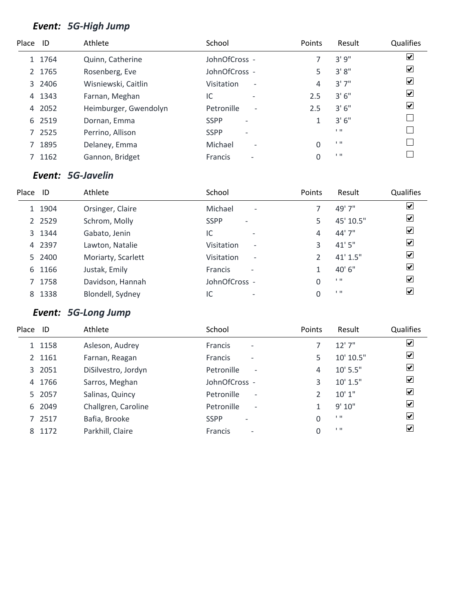# *Event: 5G-High Jump*

| Place ID |        | Athlete               | School                                        | <b>Points</b> | Result         | Qualifies               |
|----------|--------|-----------------------|-----------------------------------------------|---------------|----------------|-------------------------|
|          | 1 1764 | Quinn, Catherine      | JohnOfCross -                                 |               | 3'9''          | $\overline{\mathbf{v}}$ |
|          | 2 1765 | Rosenberg, Eve        | JohnOfCross -                                 | 5             | 3'8''          | $\overline{\mathbf{v}}$ |
|          | 3 2406 | Wisniewski, Caitlin   | <b>Visitation</b><br>$\overline{\phantom{a}}$ | 4             | 3'7''          | $\overline{\mathbf{v}}$ |
| 4        | 1343   | Farnan, Meghan        | IC<br>$\overline{\phantom{a}}$                | 2.5           | 3'6''          | $\blacktriangledown$    |
| 4        | 2052   | Heimburger, Gwendolyn | Petronille<br>$\overline{\phantom{a}}$        | 2.5           | 3'6''          | $\blacktriangledown$    |
|          | 6 2519 | Dornan, Emma          | <b>SSPP</b>                                   |               | 3'6''          |                         |
|          | 7 2525 | Perrino, Allison      | <b>SSPP</b><br>$\qquad \qquad$                |               | $1 - 11$       |                         |
|          | 1895   | Delaney, Emma         | Michael<br>$\overline{\phantom{a}}$           | 0             | $\blacksquare$ |                         |
|          | 1162   | Gannon, Bridget       | Francis<br>$\qquad \qquad$                    | 0             | $\blacksquare$ |                         |

# *Event: 5G-Javelin*

| Place | ID        | Athlete            | School                                        | Points | Result         | Qualifies                    |
|-------|-----------|--------------------|-----------------------------------------------|--------|----------------|------------------------------|
|       | 1 1904    | Orsinger, Claire   | Michael<br>$\overline{\phantom{a}}$           |        | 49' 7"         | $\blacktriangledown$         |
|       | 2 2 5 2 9 | Schrom, Molly      | <b>SSPP</b><br>$\overline{\phantom{a}}$       | 5      | 45' 10.5"      | $\overline{\mathbf{v}}$      |
|       | 3 1344    | Gabato, Jenin      | IC<br>$\overline{\phantom{0}}$                | 4      | 44' 7"         | $\overline{\mathbf{v}}$      |
|       | 4 2397    | Lawton, Natalie    | <b>Visitation</b><br>$\overline{\phantom{a}}$ | 3      | 41'5''         | $\overline{\mathbf{v}}$      |
|       | 5 2400    | Moriarty, Scarlett | Visitation<br>$\overline{\phantom{a}}$        |        | 41' 1.5''      | $\overline{\mathbf{v}}$      |
|       | 6 1166    | Justak, Emily      | <b>Francis</b><br>$\overline{\phantom{a}}$    |        | 40'6"          | $\boxed{\blacktriangledown}$ |
|       | 7 1758    | Davidson, Hannah   | JohnOfCross -                                 | 0      | $\blacksquare$ | $\boxed{\blacktriangledown}$ |
|       | 8 1338    | Blondell, Sydney   | IC                                            |        | $\blacksquare$ | ☑                            |

# *Event: 5G-Long Jump*

| Place ID |        | Athlete             | School                                     | Points | Result           | Qualifies               |
|----------|--------|---------------------|--------------------------------------------|--------|------------------|-------------------------|
|          | 1 1158 | Asleson, Audrey     | <b>Francis</b><br>$\overline{\phantom{a}}$ |        | 12'7''           | $\overline{\mathbf{v}}$ |
|          | 2 1161 | Farnan, Reagan      | <b>Francis</b><br>$\overline{\phantom{a}}$ | 5      | 10' 10.5"        | $\overline{\mathbf{v}}$ |
|          | 3 2051 | DiSilvestro, Jordyn | Petronille<br>$\overline{\phantom{a}}$     | 4      | $10'$ 5.5"       | ☑                       |
|          | 4 1766 | Sarros, Meghan      | JohnOfCross -                              | 3      | 10' 1.5"         | $\blacktriangledown$    |
|          | 5 2057 | Salinas, Quincy     | Petronille<br>$\overline{\phantom{a}}$     | C      | 10'1"            | $\overline{\mathbf{v}}$ |
|          | 6 2049 | Challgren, Caroline | Petronille<br>$\overline{\phantom{a}}$     |        | 9'10"            | $\blacktriangleright$   |
|          | 7 2517 | Bafia, Brooke       | <b>SSPP</b><br>$\overline{\phantom{0}}$    | 0      | $1 - 11$         | $ \mathbf{v} $          |
| 8        | 1172   | Parkhill, Claire    | <b>Francis</b><br>$\overline{\phantom{a}}$ | 0      | $1 \, \text{II}$ | $\vert \checkmark$      |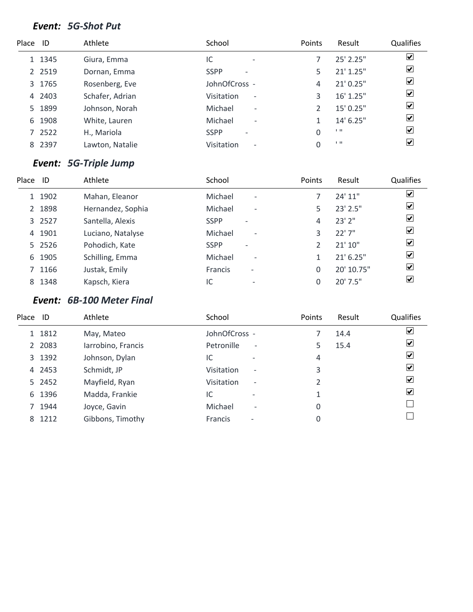#### *Event: 5G-Shot Put*

| Place ID |           | Athlete         | School                                  | Points | Result         | <b>Qualifies</b>        |
|----------|-----------|-----------------|-----------------------------------------|--------|----------------|-------------------------|
|          | 1 1345    | Giura, Emma     | IC<br>$\overline{\phantom{0}}$          |        | 25' 2.25"      | $\overline{\mathbf{v}}$ |
|          | 2 2 5 1 9 | Dornan, Emma    | <b>SSPP</b><br>$\overline{\phantom{0}}$ |        | $21'$ 1.25"    | $\overline{\mathbf{v}}$ |
|          | 3 1765    | Rosenberg, Eve  | JohnOfCross -                           | 4      | 21' 0.25"      | $\overline{\mathbf{v}}$ |
|          | 4 2403    | Schafer, Adrian | Visitation<br>$\overline{\phantom{a}}$  | 3      | 16' 1.25"      | $\blacktriangledown$    |
|          | 5 1899    | Johnson, Norah  | Michael<br>$\overline{\phantom{a}}$     |        | 15' 0.25"      | $\blacktriangledown$    |
| 6        | 1908      | White, Lauren   | Michael<br>$\overline{\phantom{a}}$     |        | 14' 6.25"      | $\overline{\mathbf{v}}$ |
|          | 7 2522    | H., Mariola     | <b>SSPP</b><br>$\overline{\phantom{0}}$ | 0      | $\blacksquare$ | $\overline{\mathbf{v}}$ |
|          | 8 2397    | Lawton, Natalie | Visitation<br>$\overline{\phantom{a}}$  | 0      | 1.11           | $\overline{\mathbf{v}}$ |

# *Event: 5G-Triple Jump*

| Place | ID     | Athlete           | School                                  | Points | Result        | Qualifies                    |
|-------|--------|-------------------|-----------------------------------------|--------|---------------|------------------------------|
|       | 1 1902 | Mahan, Eleanor    | Michael<br>$\overline{\phantom{a}}$     |        | 24'11''       | $\boxed{\blacktriangledown}$ |
|       | 2 1898 | Hernandez, Sophia | Michael<br>$\overline{\phantom{a}}$     | 5      | $23'$ $2.5''$ | $\overline{\mathbf{v}}$      |
|       | 3 2527 | Santella, Alexis  | <b>SSPP</b><br>$\overline{\phantom{a}}$ | 4      | $23'$ $2''$   | $\overline{\mathbf{v}}$      |
|       | 4 1901 | Luciano, Natalyse | Michael<br>$\overline{\phantom{a}}$     |        | 22'7''        | $\boxed{\blacktriangledown}$ |
|       | 5 2526 | Pohodich, Kate    | <b>SSPP</b><br>$\overline{a}$           |        | 21'10''       | $\overline{\mathbf{v}}$      |
|       | 6 1905 | Schilling, Emma   | Michael<br>$\overline{\phantom{a}}$     |        | $21'$ 6.25"   | $\overline{\mathbf{v}}$      |
|       | 7 1166 | Justak, Emily     | <b>Francis</b><br>$\overline{a}$        | 0      | 20' 10.75"    | $\boxed{\blacktriangledown}$ |
|       | 8 1348 | Kapsch, Kiera     | IC<br>$\overline{\phantom{0}}$          |        | 20' 7.5"      | $\overline{\mathbf{v}}$      |

# *Event: 6B-100 Meter Final*

| Place ID |        | Athlete            | School                                        | Points | Result | Qualifies                   |
|----------|--------|--------------------|-----------------------------------------------|--------|--------|-----------------------------|
|          | 1 1812 | May, Mateo         | JohnOfCross -                                 |        | 14.4   | V                           |
|          | 2 2083 | Iarrobino, Francis | Petronille<br>$\overline{\phantom{a}}$        | 5      | 15.4   | ⊻                           |
|          | 3 1392 | Johnson, Dylan     | IC                                            | 4      |        | ⊻                           |
|          | 4 2453 | Schmidt, JP        | <b>Visitation</b><br>$\overline{\phantom{a}}$ | 3      |        | $\vert \checkmark\vert$     |
|          | 5 2452 | Mayfield, Ryan     | <b>Visitation</b><br>$\overline{\phantom{a}}$ |        |        | $\left  \mathbf{v} \right $ |
|          | 6 1396 | Madda, Frankie     | IC                                            |        |        | $\vert \checkmark\vert$     |
|          | 7 1944 | Joyce, Gavin       | Michael<br>$\overline{\phantom{a}}$           | 0      |        |                             |
|          | 8 1212 | Gibbons, Timothy   | <b>Francis</b><br>$\qquad \qquad$             | 0      |        |                             |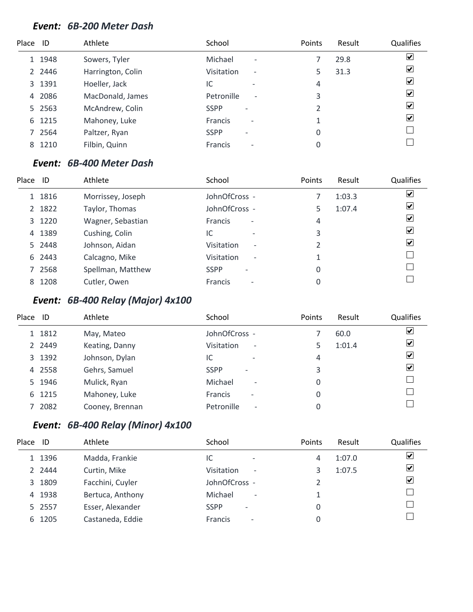#### *Event: 6B-200 Meter Dash*

| Place ID       |        | Athlete           | School                                     | Points | Result | Qualifies               |
|----------------|--------|-------------------|--------------------------------------------|--------|--------|-------------------------|
|                | 1 1948 | Sowers, Tyler     | Michael<br>$\overline{\phantom{a}}$        |        | 29.8   | $\overline{\mathbf{v}}$ |
|                | 2 2446 | Harrington, Colin | Visitation<br>$\overline{\phantom{a}}$     |        | 31.3   | $\blacktriangledown$    |
|                | 3 1391 | Hoeller, Jack     | IC<br>$\overline{\phantom{0}}$             | 4      |        | $\overline{\mathbf{v}}$ |
| $\overline{4}$ | 2086   | MacDonald, James  | Petronille<br>$\overline{\phantom{a}}$     | 3      |        | $\blacktriangledown$    |
|                | 5 2563 | McAndrew, Colin   | <b>SSPP</b><br>$\overline{\phantom{a}}$    | 2      |        | $\blacktriangledown$    |
| 6              | 1215   | Mahoney, Luke     | <b>Francis</b><br>$\overline{\phantom{a}}$ |        |        | $\blacktriangledown$    |
|                | 7 2564 | Paltzer, Ryan     | <b>SSPP</b><br>$\overline{\phantom{0}}$    | 0      |        |                         |
| 8              | 1210   | Filbin, Quinn     | <b>Francis</b><br>$\overline{\phantom{a}}$ | 0      |        |                         |

#### *Event: 6B-400 Meter Dash*

| Place | ID     | Athlete           | School                                     | Points | Result | <b>Qualifies</b>             |
|-------|--------|-------------------|--------------------------------------------|--------|--------|------------------------------|
|       | 1 1816 | Morrissey, Joseph | JohnOfCross -                              |        | 1:03.3 | $\boxed{\blacktriangledown}$ |
|       | 2 1822 | Taylor, Thomas    | JohnOfCross -                              | 5      | 1:07.4 | $\overline{\mathbf{v}}$      |
|       | 3 1220 | Wagner, Sebastian | <b>Francis</b><br>$\overline{\phantom{a}}$ | 4      |        | $\overline{\mathbf{v}}$      |
|       | 4 1389 | Cushing, Colin    | IC<br>$\overline{\phantom{0}}$             | 3      |        | ☑                            |
|       | 5 2448 | Johnson, Aidan    | Visitation<br>$\overline{\phantom{a}}$     | 2      |        | $\blacktriangledown$         |
|       | 6 2443 | Calcagno, Mike    | Visitation<br>$\overline{\phantom{a}}$     |        |        |                              |
|       | 7 2568 | Spellman, Matthew | <b>SSPP</b><br>$\qquad \qquad$             | 0      |        |                              |
|       | 8 1208 | Cutler, Owen      | <b>Francis</b><br>$\overline{\phantom{a}}$ | 0      |        |                              |

# *Event: 6B-400 Relay (Major) 4x100*

| Place | ID     | Athlete         | School                                     | <b>Points</b> | Result | <b>Qualifies</b>        |
|-------|--------|-----------------|--------------------------------------------|---------------|--------|-------------------------|
|       | 1 1812 | May, Mateo      | JohnOfCross -                              |               | 60.0   | $\blacktriangledown$    |
|       | 2 2449 | Keating, Danny  | Visitation<br>$\overline{\phantom{a}}$     |               | 1:01.4 | $\blacktriangledown$    |
|       | 3 1392 | Johnson, Dylan  | IC<br>$\overline{\phantom{0}}$             | 4             |        | $\overline{\mathbf{v}}$ |
|       | 4 2558 | Gehrs, Samuel   | <b>SSPP</b><br>$\overline{\phantom{0}}$    | 3             |        | $\blacktriangledown$    |
|       | 5 1946 | Mulick, Ryan    | Michael<br>$\overline{\phantom{a}}$        |               |        |                         |
|       | 6 1215 | Mahoney, Luke   | <b>Francis</b><br>$\overline{\phantom{a}}$ |               |        |                         |
|       | 7 2082 | Cooney, Brennan | Petronille<br>$\overline{\phantom{a}}$     |               |        |                         |

# *Event: 6B-400 Relay (Minor) 4x100*

| Place ID |        | Athlete          | School                                  | Points | Result | Qualifies          |
|----------|--------|------------------|-----------------------------------------|--------|--------|--------------------|
|          | 1 1396 | Madda, Frankie   | IC<br>$\overline{\phantom{a}}$          | 4      | 1:07.0 | V                  |
|          | 2 2444 | Curtin, Mike     | Visitation<br>$\overline{\phantom{a}}$  | 3      | 1:07.5 | ⊻                  |
|          | 3 1809 | Facchini, Cuyler | JohnOfCross -                           |        |        | $\vert \checkmark$ |
|          | 4 1938 | Bertuca, Anthony | Michael<br>$\overline{\phantom{a}}$     |        |        |                    |
|          | 5 2557 | Esser, Alexander | <b>SSPP</b><br>$\overline{\phantom{0}}$ | 0      |        |                    |
|          | 6 1205 | Castaneda, Eddie | Francis<br>$\overline{\phantom{a}}$     | 0      |        |                    |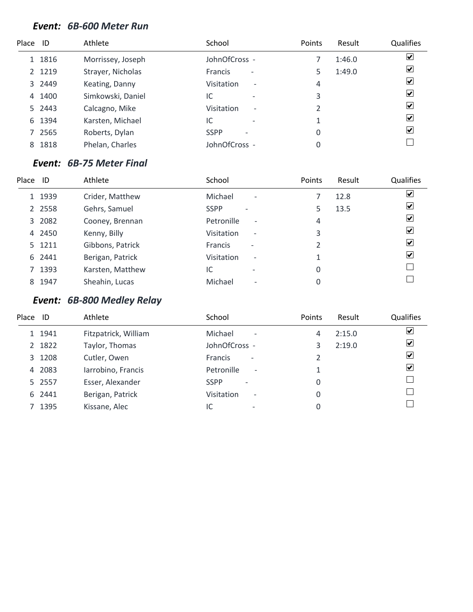#### *Event: 6B-600 Meter Run*

| Place ID |        | Athlete           | School                                     | Points | Result | Qualifies               |
|----------|--------|-------------------|--------------------------------------------|--------|--------|-------------------------|
|          | 1 1816 | Morrissey, Joseph | JohnOfCross -                              |        | 1:46.0 | $\blacktriangledown$    |
|          | 2 1219 | Strayer, Nicholas | <b>Francis</b><br>$\overline{\phantom{a}}$ |        | 1:49.0 | $\blacktriangledown$    |
|          | 3 2449 | Keating, Danny    | Visitation<br>$\overline{\phantom{a}}$     | 4      |        | ⊻                       |
| 4        | 1400   | Simkowski, Daniel | IC<br>$\overline{\phantom{0}}$             | 3      |        | ✔                       |
|          | 5 2443 | Calcagno, Mike    | Visitation<br>$\overline{\phantom{a}}$     | 2      |        | ✔                       |
| 6        | 1394   | Karsten, Michael  | IC<br>$\overline{\phantom{0}}$             |        |        | $\vert \checkmark\vert$ |
|          | 7 2565 | Roberts, Dylan    | <b>SSPP</b>                                | 0      |        | $\vert \checkmark\vert$ |
| 8        | 1818   | Phelan, Charles   | JohnOfCross -                              | 0      |        |                         |

#### *Event: 6B-75 Meter Final*

| Place | ID        | Athlete          | School                                        | Points | Result | Qualifies                       |
|-------|-----------|------------------|-----------------------------------------------|--------|--------|---------------------------------|
|       | 1 1939    | Crider, Matthew  | Michael<br>$\overline{\phantom{a}}$           |        | 12.8   | ⊻                               |
|       | 2 2 5 5 8 | Gehrs, Samuel    | <b>SSPP</b><br>$\overline{\phantom{0}}$       | 5      | 13.5   | $\overline{\mathbf{v}}$         |
|       | 3 2082    | Cooney, Brennan  | Petronille<br>$\overline{\phantom{a}}$        | 4      |        | $\overline{\blacktriangledown}$ |
|       | 4 2450    | Kenny, Billy     | <b>Visitation</b><br>$\overline{\phantom{a}}$ | 3      |        | ✔                               |
|       | 5 1211    | Gibbons, Patrick | <b>Francis</b><br>$\overline{\phantom{0}}$    | 2      |        | $\overline{\mathbf{v}}$         |
|       | 6 2441    | Berigan, Patrick | <b>Visitation</b><br>$\overline{\phantom{a}}$ |        |        | $\blacktriangledown$            |
|       | 7 1393    | Karsten, Matthew | IC<br>$\overline{\phantom{0}}$                | 0      |        |                                 |
|       | 8 1947    | Sheahin, Lucas   | Michael<br>$\overline{\phantom{a}}$           | 0      |        |                                 |

# *Event: 6B-800 Medley Relay*

| Place | ID     | Athlete              | School                                     | <b>Points</b> | Result | Qualifies               |
|-------|--------|----------------------|--------------------------------------------|---------------|--------|-------------------------|
|       | 1 1941 | Fitzpatrick, William | Michael<br>$\overline{\phantom{a}}$        | 4             | 2:15.0 | $\overline{\mathbf{v}}$ |
|       | 2 1822 | Taylor, Thomas       | JohnOfCross -                              |               | 2:19.0 | $\overline{\mathbf{v}}$ |
|       | 3 1208 | Cutler, Owen         | <b>Francis</b><br>$\overline{\phantom{a}}$ |               |        | $\overline{\mathbf{v}}$ |
|       | 4 2083 | larrobino, Francis   | Petronille<br>$\overline{\phantom{a}}$     |               |        | $\overline{\mathbf{v}}$ |
|       | 5 2557 | Esser, Alexander     | <b>SSPP</b><br>$\overline{\phantom{a}}$    | 0             |        |                         |
|       | 6 2441 | Berigan, Patrick     | Visitation<br>$\overline{\phantom{a}}$     | 0             |        |                         |
|       | 7 1395 | Kissane, Alec        | IC<br>$\overline{\phantom{0}}$             | 0             |        |                         |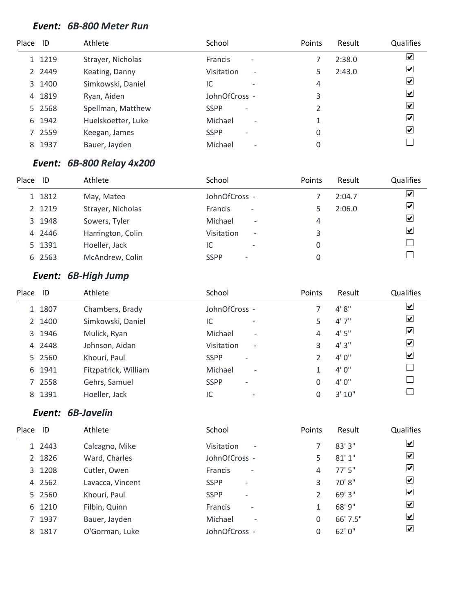#### *Event: 6B-800 Meter Run*

| Place ID |           | Athlete            | School                                     | Points | Result | Qualifies            |
|----------|-----------|--------------------|--------------------------------------------|--------|--------|----------------------|
|          | 1 1219    | Strayer, Nicholas  | <b>Francis</b><br>$\overline{\phantom{a}}$ |        | 2:38.0 | $\blacktriangledown$ |
|          | 2 2 4 4 9 | Keating, Danny     | Visitation<br>$\overline{\phantom{a}}$     |        | 2:43.0 | ☑                    |
|          | 3 1400    | Simkowski, Daniel  | IC                                         | 4      |        | $\blacktriangledown$ |
| 4        | 1819      | Ryan, Aiden        | JohnOfCross -                              | 3      |        | ✔                    |
|          | 5 2568    | Spellman, Matthew  | <b>SSPP</b><br>$\overline{\phantom{a}}$    | 2      |        | ✔                    |
| 6        | 1942      | Huelskoetter, Luke | Michael<br>$\overline{\phantom{a}}$        |        |        | ✔                    |
|          | 7 2559    | Keegan, James      | <b>SSPP</b><br>$\overline{\phantom{0}}$    | 0      |        | $\blacktriangledown$ |
| 8        | 1937      | Bauer, Jayden      | Michael<br>$\overline{\phantom{a}}$        | 0      |        |                      |

# *Event: 6B-800 Relay 4x200*

| Place | ID     | Athlete           | School                                  | <b>Points</b> | Result | Qualifies               |
|-------|--------|-------------------|-----------------------------------------|---------------|--------|-------------------------|
|       | 1 1812 | May, Mateo        | JohnOfCross -                           |               | 2:04.7 | $\overline{\mathbf{v}}$ |
|       | 2 1219 | Strayer, Nicholas | Francis<br>$\overline{\phantom{a}}$     |               | 2:06.0 | $\overline{\mathbf{v}}$ |
|       | 3 1948 | Sowers, Tyler     | Michael<br>$\overline{\phantom{a}}$     | 4             |        | $\overline{\mathbf{v}}$ |
|       | 4 2446 | Harrington, Colin | Visitation<br>$\overline{\phantom{a}}$  | 3             |        | ⊻                       |
|       | 5 1391 | Hoeller, Jack     | IC                                      |               |        |                         |
|       | 6 2563 | McAndrew, Colin   | <b>SSPP</b><br>$\overline{\phantom{0}}$ |               |        |                         |

# *Event: 6B-High Jump*

| Place<br>Athlete<br>School<br>Points<br>ID<br>Result                             | Qualifies                    |
|----------------------------------------------------------------------------------|------------------------------|
| 4' 8''<br>JohnOfCross -<br>1 1807<br>Chambers, Brady                             | $\boxed{\blacktriangledown}$ |
| 4'7''<br>Simkowski, Daniel<br>2 1400<br>IC<br>5<br>$\overline{\phantom{0}}$      | $\boxed{\blacktriangledown}$ |
| 4'5''<br>3 1946<br>Michael<br>Mulick, Ryan<br>4<br>$\overline{\phantom{a}}$      | $\overline{\mathbf{v}}$      |
| 4'3''<br>4 2448<br>Johnson, Aidan<br>3<br>Visitation<br>$\overline{\phantom{a}}$ | $\overline{\mathbf{v}}$      |
| 4'0''<br>5 2560<br><b>SSPP</b><br>Khouri, Paul<br>$\overline{\phantom{a}}$       | $\boxed{\blacktriangledown}$ |
| 4'0''<br>Fitzpatrick, William<br>Michael<br>6 1941<br>$\overline{\phantom{a}}$   |                              |
| 4'0''<br>7 2558<br>Gehrs, Samuel<br><b>SSPP</b><br>0<br>$\qquad \qquad$          |                              |
| 3'10''<br>8 1391<br>Hoeller, Jack<br>IC<br>0<br>$\overline{\phantom{0}}$         |                              |

#### *Event: 6B-Javelin*

| Place ID |        | Athlete          | School                                     | Points | Result   | <b>Qualifies</b>         |
|----------|--------|------------------|--------------------------------------------|--------|----------|--------------------------|
|          | 1 2443 | Calcagno, Mike   | Visitation<br>$\overline{\phantom{a}}$     |        | 83' 3"   | ⊻                        |
|          | 2 1826 | Ward, Charles    | JohnOfCross -                              | 5      | 81'1''   | ☑                        |
|          | 3 1208 | Cutler, Owen     | <b>Francis</b><br>$\overline{\phantom{a}}$ | 4      | $77'$ 5" | $\overline{\mathbf{v}}$  |
|          | 4 2562 | Lavacca, Vincent | <b>SSPP</b><br>$\overline{\phantom{a}}$    | 3      | 70' 8"   | $\overline{\mathbf{v}}$  |
|          | 5 2560 | Khouri, Paul     | <b>SSPP</b><br>$\overline{\phantom{a}}$    |        | 69'3''   | ⊻                        |
|          | 6 1210 | Filbin, Quinn    | <b>Francis</b><br>$\overline{\phantom{a}}$ |        | 68' 9"   | ⊻                        |
|          | 7 1937 | Bauer, Jayden    | Michael<br>$\overline{\phantom{a}}$        | 0      | 66' 7.5" | ⊻                        |
|          | 8 1817 | O'Gorman, Luke   | JohnOfCross -                              | 0      | 62'0''   | $\vert \checkmark \vert$ |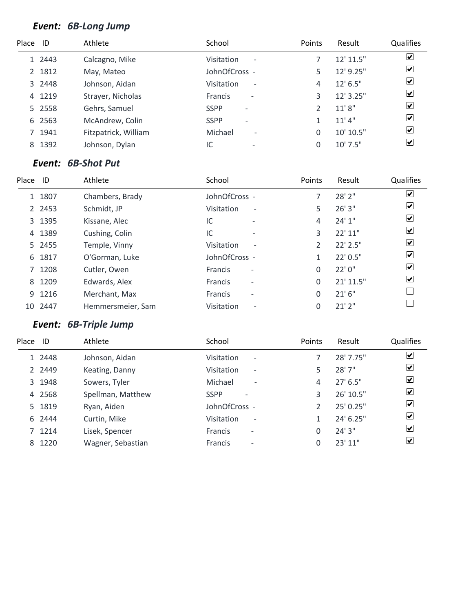# *Event: 6B-Long Jump*

| Place ID |        | Athlete              | School                                        | Points | Result     | <b>Qualifies</b>        |
|----------|--------|----------------------|-----------------------------------------------|--------|------------|-------------------------|
|          | 1 2443 | Calcagno, Mike       | <b>Visitation</b><br>$\overline{\phantom{a}}$ |        | 12' 11.5"  | $\overline{\mathbf{v}}$ |
|          | 2 1812 | May, Mateo           | JohnOfCross -                                 | 5      | 12' 9.25"  | $\overline{\mathbf{v}}$ |
|          | 3 2448 | Johnson, Aidan       | Visitation<br>$\overline{\phantom{a}}$        | 4      | 12' 6.5"   | $\overline{\mathbf{v}}$ |
| 4        | 1219   | Strayer, Nicholas    | <b>Francis</b><br>$\overline{\phantom{a}}$    | 3      | 12' 3.25"  | $\overline{\mathbf{v}}$ |
|          | 5 2558 | Gehrs, Samuel        | <b>SSPP</b><br>$\overline{\phantom{a}}$       |        | 11'8''     | $\blacktriangledown$    |
|          | 6 2563 | McAndrew, Colin      | <b>SSPP</b><br>$\overline{\phantom{0}}$       |        | 11'4"      | $\overline{\mathbf{v}}$ |
|          | 7 1941 | Fitzpatrick, William | Michael<br>$\overline{\phantom{a}}$           | 0      | 10' 10.5"  | $\overline{\mathbf{v}}$ |
| 8        | 1392   | Johnson, Dylan       | IC                                            |        | $10'$ 7.5" | $\overline{\mathbf{v}}$ |

#### *Event: 6B-Shot Put*

| Place | ID        | Athlete           | School                                 | Points         | Result    | Qualifies               |
|-------|-----------|-------------------|----------------------------------------|----------------|-----------|-------------------------|
|       | 1 1807    | Chambers, Brady   | JohnOfCross -                          |                | 28' 2"    | ⊻                       |
|       | 2 2 4 5 3 | Schmidt, JP       | Visitation<br>$\overline{\phantom{a}}$ | 5              | 26'3''    | ☑                       |
|       | 3 1395    | Kissane, Alec     | IC<br>$\overline{\phantom{a}}$         | 4              | 24'1''    | $\overline{\mathbf{v}}$ |
|       | 4 1389    | Cushing, Colin    | IC<br>$\overline{\phantom{a}}$         | 3              | 22' 11"   | ⊻                       |
|       | 5 2455    | Temple, Vinny     | Visitation<br>$\overline{\phantom{a}}$ | $\mathfrak{D}$ | 22' 2.5"  | ☑                       |
|       | 6 1817    | O'Gorman, Luke    | JohnOfCross -                          |                | 22' 0.5"  | ☑                       |
|       | 7 1208    | Cutler, Owen      | Francis<br>$\overline{\phantom{a}}$    | $\Omega$       | 22'0''    | ☑                       |
|       | 8 1209    | Edwards, Alex     | Francis<br>$\overline{\phantom{a}}$    | $\Omega$       | 21' 11.5" | ☑                       |
|       | 9 1216    | Merchant, Max     | Francis<br>$\overline{\phantom{a}}$    | 0              | 21'6''    |                         |
| 10    | 2447      | Hemmersmeier, Sam | Visitation<br>$\overline{\phantom{a}}$ | 0              | 21'2''    |                         |
|       |           |                   |                                        |                |           |                         |

# *Event: 6B-Triple Jump*

| Place ID |        | Athlete           | School                                     | Points         | Result     | Qualifies               |
|----------|--------|-------------------|--------------------------------------------|----------------|------------|-------------------------|
|          | 1 2448 | Johnson, Aidan    | Visitation<br>$\overline{\phantom{a}}$     |                | 28' 7.75"  | ⊻                       |
|          | 2 2449 | Keating, Danny    | Visitation<br>$\overline{\phantom{a}}$     | 5              | 28' 7"     | $\overline{\mathbf{v}}$ |
|          | 3 1948 | Sowers, Tyler     | Michael<br>$\overline{\phantom{a}}$        | 4              | $27'$ 6.5" | $\blacktriangledown$    |
|          | 4 2568 | Spellman, Matthew | <b>SSPP</b><br>$\overline{\phantom{0}}$    | 3              | 26' 10.5"  | $\overline{\mathbf{v}}$ |
|          | 5 1819 | Ryan, Aiden       | JohnOfCross -                              | $\mathfrak{D}$ | 25' 0.25"  | $\overline{\mathbf{v}}$ |
|          | 6 2444 | Curtin, Mike      | Visitation<br>$\overline{\phantom{a}}$     |                | 24' 6.25"  | ☑                       |
|          | 7 1214 | Lisek, Spencer    | <b>Francis</b><br>$\overline{\phantom{a}}$ | 0              | 24' 3"     | ☑                       |
| 8        | 1220   | Wagner, Sebastian | <b>Francis</b><br>$\overline{\phantom{a}}$ | 0              | 23' 11"    | ⊻                       |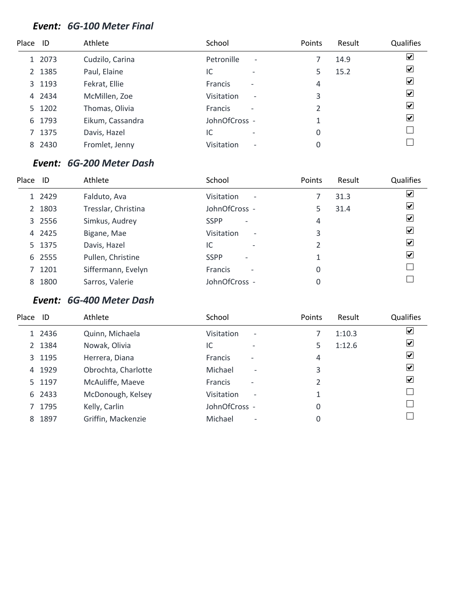#### *Event: 6G-100 Meter Final*

| Place ID |        | Athlete          | School                                        | Points | Result | <b>Qualifies</b>        |
|----------|--------|------------------|-----------------------------------------------|--------|--------|-------------------------|
|          | 1 2073 | Cudzilo, Carina  | Petronille<br>$\overline{\phantom{a}}$        |        | 14.9   | $\overline{\mathbf{v}}$ |
|          | 2 1385 | Paul, Elaine     | IC<br>$\overline{\phantom{0}}$                |        | 15.2   | $\overline{\mathbf{v}}$ |
|          | 3 1193 | Fekrat, Ellie    | <b>Francis</b><br>$\overline{\phantom{a}}$    | 4      |        | $\overline{\mathbf{v}}$ |
|          | 4 2434 | McMillen, Zoe    | <b>Visitation</b><br>$\overline{\phantom{a}}$ | 3      |        | $\blacktriangledown$    |
|          | 5 1202 | Thomas, Olivia   | <b>Francis</b><br>$\overline{\phantom{a}}$    | 2      |        | $\blacktriangledown$    |
| 6        | 1793   | Eikum, Cassandra | JohnOfCross -                                 |        |        | $\blacktriangledown$    |
|          | 7 1375 | Davis, Hazel     | IC<br>$\overline{\phantom{0}}$                | 0      |        |                         |
|          | 8 2430 | Fromlet, Jenny   | Visitation<br>$\overline{\phantom{a}}$        | 0      |        |                         |

#### *Event: 6G-200 Meter Dash*

| Place | ID     | Athlete             | School                                        | Points | Result | Qualifies                    |
|-------|--------|---------------------|-----------------------------------------------|--------|--------|------------------------------|
|       | 1 2429 | Falduto, Ava        | <b>Visitation</b><br>$\overline{\phantom{a}}$ |        | 31.3   | $\boxed{\blacktriangledown}$ |
|       | 2 1803 | Tresslar, Christina | JohnOfCross -                                 | 5      | 31.4   | $\boxed{\checkmark}$         |
|       | 3 2556 | Simkus, Audrey      | <b>SSPP</b><br>$\overline{\phantom{a}}$       | 4      |        | $\overline{\mathbf{v}}$      |
|       | 4 2425 | Bigane, Mae         | Visitation<br>$\overline{\phantom{a}}$        | 3      |        | $\overline{\mathbf{v}}$      |
|       | 5 1375 | Davis, Hazel        | IC<br>$\overline{\phantom{a}}$                | 2      |        | $\overline{\mathbf{v}}$      |
|       | 6 2555 | Pullen, Christine   | <b>SSPP</b><br>$\qquad \qquad$                |        |        | $\blacktriangleright$        |
|       | 7 1201 | Siffermann, Evelyn  | <b>Francis</b><br>$\overline{\phantom{a}}$    | 0      |        |                              |
| 8     | 1800   | Sarros, Valerie     | JohnOfCross -                                 |        |        |                              |

## *Event: 6G-400 Meter Dash*

| Place | ID     | Athlete             | School                                        | Points | Result | Qualifies                   |
|-------|--------|---------------------|-----------------------------------------------|--------|--------|-----------------------------|
|       | 1 2436 | Quinn, Michaela     | Visitation<br>$\overline{\phantom{a}}$        |        | 1:10.3 | V                           |
|       | 2 1384 | Nowak, Olivia       | IC                                            | 5      | 1:12.6 | ⊻                           |
|       | 3 1195 | Herrera, Diana      | <b>Francis</b><br>$\overline{\phantom{0}}$    | 4      |        | ⊻                           |
|       | 4 1929 | Obrochta, Charlotte | Michael<br>$\overline{\phantom{a}}$           | 3      |        | $\vert \checkmark\vert$     |
|       | 5 1197 | McAuliffe, Maeve    | <b>Francis</b>                                |        |        | $\left  \mathbf{v} \right $ |
|       | 6 2433 | McDonough, Kelsey   | <b>Visitation</b><br>$\overline{\phantom{a}}$ |        |        |                             |
|       | 7 1795 | Kelly, Carlin       | JohnOfCross -                                 | 0      |        |                             |
|       | 8 1897 | Griffin, Mackenzie  | Michael<br>$\overline{\phantom{0}}$           | 0      |        |                             |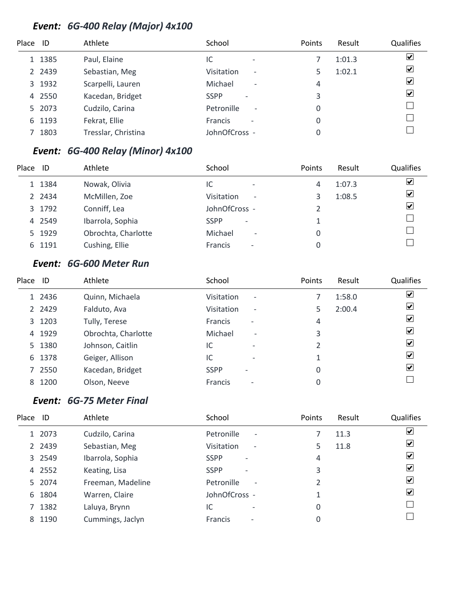# *Event: 6G-400 Relay (Major) 4x100*

| Place ID |           | Athlete             | School                                     | Points | Result | Qualifies               |
|----------|-----------|---------------------|--------------------------------------------|--------|--------|-------------------------|
|          | 1 1385    | Paul, Elaine        | IC<br>$\overline{\phantom{a}}$             |        | 1:01.3 | $\blacktriangledown$    |
|          | 2 2 4 3 9 | Sebastian, Meg      | Visitation<br>$\overline{\phantom{a}}$     |        | 1:02.1 | $\overline{\mathbf{v}}$ |
|          | 3 1932    | Scarpelli, Lauren   | Michael<br>$\overline{\phantom{a}}$        | 4      |        | $\overline{\mathbf{v}}$ |
|          | 4 2550    | Kacedan, Bridget    | <b>SSPP</b><br>$\overline{\phantom{a}}$    | 3      |        | $\blacktriangledown$    |
|          | 5 2073    | Cudzilo, Carina     | Petronille<br>$\overline{\phantom{a}}$     | 0      |        |                         |
|          | 6 1193    | Fekrat, Ellie       | <b>Francis</b><br>$\overline{\phantom{0}}$ | 0      |        |                         |
|          | 1803      | Tresslar, Christina | JohnOfCross -                              |        |        |                         |

# *Event: 6G-400 Relay (Minor) 4x100*

| Place | - ID   | Athlete             | School                                        | Points | Result | Qualifies                    |
|-------|--------|---------------------|-----------------------------------------------|--------|--------|------------------------------|
|       | 1 1384 | Nowak, Olivia       | IC<br>-                                       | 4      | 1:07.3 | ☑                            |
|       | 2 2434 | McMillen, Zoe       | <b>Visitation</b><br>$\overline{\phantom{a}}$ |        | 1:08.5 | $\boxed{\blacktriangledown}$ |
|       | 3 1792 | Conniff, Lea        | JohnOfCross -                                 |        |        | $\overline{\mathbf{v}}$      |
|       | 4 2549 | Ibarrola, Sophia    | <b>SSPP</b><br>$\overline{\phantom{a}}$       |        |        |                              |
|       | 5 1929 | Obrochta, Charlotte | Michael<br>$\overline{\phantom{a}}$           | 0      |        |                              |
|       | 6 1191 | Cushing, Ellie      | <b>Francis</b><br>$\overline{\phantom{a}}$    |        |        |                              |

#### *Event: 6G-600 Meter Run*

| Place | -ID       | Athlete             | School                                        | Points      | Result | <b>Qualifies</b>        |
|-------|-----------|---------------------|-----------------------------------------------|-------------|--------|-------------------------|
|       | 1 2436    | Quinn, Michaela     | Visitation<br>$\overline{\phantom{a}}$        |             | 1:58.0 | $\overline{\mathbf{v}}$ |
|       | 2 2 4 2 9 | Falduto, Ava        | <b>Visitation</b><br>$\overline{\phantom{a}}$ |             | 2:00.4 | $\overline{\mathbf{v}}$ |
|       | 3 1203    | Tully, Terese       | <b>Francis</b><br>$\overline{\phantom{a}}$    | 4           |        | $\blacktriangledown$    |
|       | 4 1929    | Obrochta, Charlotte | Michael<br>$\overline{\phantom{a}}$           | 3           |        | ⊻                       |
|       | 5 1380    | Johnson, Caitlin    | IC<br>$\overline{\phantom{0}}$                |             |        | $\blacktriangledown$    |
|       | 6 1378    | Geiger, Allison     | IC<br>$\overline{\phantom{0}}$                |             |        | $\overline{\mathbf{v}}$ |
|       | 7 2550    | Kacedan, Bridget    | <b>SSPP</b>                                   | 0           |        | $\blacktriangledown$    |
| 8     | 1200      | Olson, Neeve        | <b>Francis</b><br>$\overline{\phantom{0}}$    | $\mathbf 0$ |        |                         |

## *Event: 6G-75 Meter Final*

| Place | ID        | Athlete           | School                                        | Points         | Result | <b>Qualifies</b>         |
|-------|-----------|-------------------|-----------------------------------------------|----------------|--------|--------------------------|
|       | 1 2073    | Cudzilo, Carina   | Petronille<br>$\overline{\phantom{a}}$        |                | 11.3   | $\vert \mathbf{v} \vert$ |
|       | 2 2 4 3 9 | Sebastian, Meg    | <b>Visitation</b><br>$\overline{\phantom{a}}$ | 5              | 11.8   | $ \boldsymbol{v} $       |
|       | 3 2549    | Ibarrola, Sophia  | <b>SSPP</b><br>$\overline{\phantom{a}}$       | 4              |        | $ \mathbf{v} $           |
|       | 4 2552    | Keating, Lisa     | <b>SSPP</b><br>$\overline{\phantom{a}}$       | 3              |        | $ \mathbf{v} $           |
|       | 5 2074    | Freeman, Madeline | Petronille<br>$\overline{\phantom{a}}$        | $\mathfrak{p}$ |        | $ \boldsymbol{v} $       |
|       | 6 1804    | Warren, Claire    | JohnOfCross -                                 |                |        | $ \mathbf{v} $           |
|       | 7 1382    | Laluya, Brynn     | IC<br>$\overline{\phantom{0}}$                | 0              |        |                          |
|       | 8 1190    | Cummings, Jaclyn  | <b>Francis</b><br>$\overline{\phantom{a}}$    | 0              |        |                          |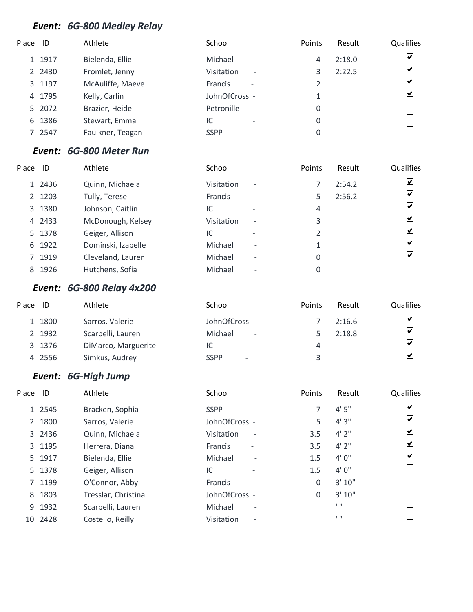# *Event: 6G-800 Medley Relay*

| Place ID |           | Athlete          | School                                        | Points | Result | <b>Qualifies</b>        |
|----------|-----------|------------------|-----------------------------------------------|--------|--------|-------------------------|
|          | 1 1917    | Bielenda, Ellie  | Michael<br>$\overline{\phantom{a}}$           | 4      | 2:18.0 | $\blacktriangledown$    |
|          | 2 2 4 3 0 | Fromlet, Jenny   | <b>Visitation</b><br>$\overline{\phantom{a}}$ |        | 2:22.5 | $\overline{\mathbf{v}}$ |
|          | 3 1197    | McAuliffe, Maeve | <b>Francis</b><br>$\overline{\phantom{a}}$    |        |        | $\blacktriangledown$    |
|          | 4 1795    | Kelly, Carlin    | JohnOfCross -                                 |        |        | $\overline{\mathbf{v}}$ |
|          | 5 2072    | Brazier, Heide   | Petronille<br>$\qquad \qquad \blacksquare$    | 0      |        |                         |
| 6        | 1386      | Stewart, Emma    | IC                                            | 0      |        |                         |
|          | 7 2547    | Faulkner, Teagan | <b>SSPP</b>                                   |        |        |                         |

# *Event: 6G-800 Meter Run*

| Place | ID     | Athlete            | School                                     |                          | Points | Result | Qualifies                    |
|-------|--------|--------------------|--------------------------------------------|--------------------------|--------|--------|------------------------------|
|       | 1 2436 | Quinn, Michaela    | Visitation<br>$\overline{\phantom{a}}$     |                          |        | 2:54.2 | $\boxed{\blacktriangledown}$ |
|       | 2 1203 | Tully, Terese      | <b>Francis</b><br>$\overline{\phantom{a}}$ |                          |        | 2:56.2 | ⊻                            |
|       | 3 1380 | Johnson, Caitlin   | IC<br>$\overline{\phantom{0}}$             |                          | 4      |        | $\overline{\mathbf{v}}$      |
|       | 4 2433 | McDonough, Kelsey  | Visitation<br>$\overline{\phantom{a}}$     |                          | 3      |        | $\overline{\mathbf{v}}$      |
|       | 5 1378 | Geiger, Allison    | IC<br>$\overline{\phantom{0}}$             |                          |        |        | $\overline{\mathbf{v}}$      |
|       | 6 1922 | Dominski, Izabelle | Michael                                    | $\overline{\phantom{a}}$ |        |        | $\overline{\mathbf{v}}$      |
|       | 7 1919 | Cleveland, Lauren  | Michael                                    | $\overline{\phantom{a}}$ | 0      |        | $\vert \mathbf{v} \vert$     |
| 8     | 1926   | Hutchens, Sofia    | Michael                                    | $\overline{\phantom{0}}$ |        |        |                              |

# *Event: 6G-800 Relay 4x200*

| Place | ID     | Athlete             | School                              | Points | Result | <b>Qualifies</b>                |
|-------|--------|---------------------|-------------------------------------|--------|--------|---------------------------------|
|       | 1 1800 | Sarros, Valerie     | JohnOfCross -                       |        | 2:16.6 | ☑                               |
|       | 2 1932 | Scarpelli, Lauren   | Michael<br>$\overline{\phantom{a}}$ |        | 2:18.8 | $\blacktriangledown$            |
|       | 3 1376 | DiMarco, Marguerite | IC<br>$\overline{\phantom{0}}$      | 4      |        | ⊻                               |
|       | 4 2556 | Simkus, Audrey      | <b>SSPP</b><br>۰                    |        |        | $\overline{\blacktriangledown}$ |

#### *Event: 6G-High Jump*

| Place | ID      | Athlete             | School                                     | Points       | Result  | Qualifies |
|-------|---------|---------------------|--------------------------------------------|--------------|---------|-----------|
|       | 1 2545  | Bracken, Sophia     | <b>SSPP</b>                                |              | 4'5''   | ☑         |
|       | 2 1800  | Sarros, Valerie     | JohnOfCross -                              | 5            | 4'3''   | ☑         |
|       | 3 2436  | Quinn, Michaela     | Visitation<br>$\overline{\phantom{0}}$     | 3.5          | 4'2''   | ⊻         |
|       | 3 1195  | Herrera, Diana      | <b>Francis</b><br>$\overline{\phantom{a}}$ | 3.5          | 4'2''   | ⊻         |
|       | 5 1917  | Bielenda, Ellie     | Michael<br>$\overline{\phantom{a}}$        | 1.5          | 4'0''   | ⊻         |
|       | 5 1378  | Geiger, Allison     | IC                                         | 1.5          | 4'0''   |           |
|       | 7 1199  | O'Connor, Abby      | <b>Francis</b>                             | 0            | 3' 10'' |           |
|       | 8 1803  | Tresslar, Christina | JohnOfCross -                              | $\mathbf{0}$ | 3' 10'' |           |
|       | 9 1932  | Scarpelli, Lauren   | Michael<br>$\overline{\phantom{a}}$        |              | 1.11    |           |
|       | 10 2428 | Costello, Reilly    | Visitation<br>$\overline{\phantom{a}}$     |              | 1.11    |           |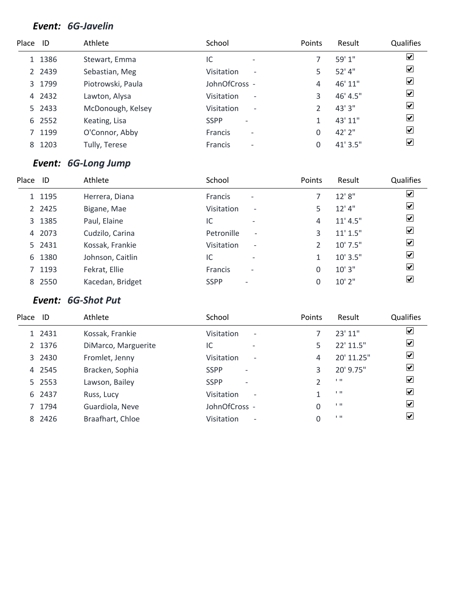#### *Event: 6G-Javelin*

| Place ID |           | Athlete           | School                                     | <b>Points</b> | Result   | Qualifies                    |
|----------|-----------|-------------------|--------------------------------------------|---------------|----------|------------------------------|
|          | 1 1386    | Stewart, Emma     | IC                                         |               | 59'1''   | $\blacktriangledown$         |
|          | 2 2 4 3 9 | Sebastian, Meg    | Visitation<br>$\overline{\phantom{a}}$     |               | 52' 4"   | $\blacktriangledown$         |
|          | 3 1799    | Piotrowski, Paula | JohnOfCross -                              | 4             | 46' 11"  | $\overline{\mathbf{v}}$      |
|          | 4 2432    | Lawton, Alysa     | Visitation<br>$\qquad \qquad \blacksquare$ | 3             | 46' 4.5" | $\overline{\mathbf{v}}$      |
|          | 5 2433    | McDonough, Kelsey | Visitation<br>$\overline{\phantom{a}}$     |               | 43' 3"   | $\boxed{\blacktriangledown}$ |
|          | 6 2552    | Keating, Lisa     | <b>SSPP</b><br>$\overline{\phantom{0}}$    |               | 43' 11"  | $\boxed{\blacktriangledown}$ |
|          | 7 1199    | O'Connor, Abby    | <b>Francis</b><br>$\overline{\phantom{a}}$ | 0             | 42' 2"   | $\overline{\mathbf{v}}$      |
| 8        | 1203      | Tully, Terese     | <b>Francis</b><br>$\overline{\phantom{a}}$ |               | 41' 3.5" | $\overline{\mathbf{v}}$      |

# *Event: 6G-Long Jump*

| Place ID |        | Athlete          | School                                        | Points | Result     | <b>Qualifies</b>     |
|----------|--------|------------------|-----------------------------------------------|--------|------------|----------------------|
|          | 1 1195 | Herrera, Diana   | <b>Francis</b><br>$\overline{\phantom{a}}$    |        | 12'8"      | $\blacktriangledown$ |
|          | 2 2425 | Bigane, Mae      | Visitation<br>$\overline{\phantom{a}}$        | 5.     | $12'$ 4"   | $\blacktriangledown$ |
|          | 3 1385 | Paul, Elaine     | IC<br>$\overline{\phantom{a}}$                | 4      | 11' 4.5''  | $\blacktriangledown$ |
|          | 4 2073 | Cudzilo, Carina  | Petronille<br>$\overline{\phantom{0}}$        | 3      | 11' 1.5"   | $\blacktriangledown$ |
|          | 5 2431 | Kossak, Frankie  | <b>Visitation</b><br>$\overline{\phantom{a}}$ |        | $10'$ 7.5" | $\blacktriangledown$ |
|          | 6 1380 | Johnson, Caitlin | IC<br>$\overline{\phantom{a}}$                |        | $10'$ 3.5" | $\blacktriangledown$ |
|          | 7 1193 | Fekrat, Ellie    | <b>Francis</b><br>$\qquad \qquad$             | 0      | 10'3''     | $\blacktriangledown$ |
|          | 8 2550 | Kacedan, Bridget | <b>SSPP</b>                                   |        | $10'$ 2"   | $\blacktriangledown$ |

# *Event: 6G-Shot Put*

| Place | ID     | Athlete             | School                                  | <b>Points</b> | Result         | Qualifies            |
|-------|--------|---------------------|-----------------------------------------|---------------|----------------|----------------------|
|       | 1 2431 | Kossak, Frankie     | Visitation<br>$\overline{\phantom{a}}$  |               | 23' 11"        | ⊻                    |
|       | 2 1376 | DiMarco, Marguerite | IC<br>$\overline{\phantom{0}}$          | 5             | 22' 11.5"      | ☑                    |
|       | 3 2430 | Fromlet, Jenny      | Visitation<br>$\overline{\phantom{a}}$  | 4             | 20' 11.25"     | $\blacktriangledown$ |
|       | 4 2545 | Bracken, Sophia     | <b>SSPP</b><br>$\overline{\phantom{a}}$ | 3             | 20' 9.75"      | $\blacktriangledown$ |
|       | 5 2553 | Lawson, Bailey      | <b>SSPP</b><br>$\overline{\phantom{0}}$ |               | $1 - 11$       | ⊻                    |
|       | 6 2437 | Russ, Lucy          | Visitation<br>$\overline{\phantom{a}}$  | 1             | 1.11           | $\blacktriangledown$ |
|       | 7 1794 | Guardiola, Neve     | JohnOfCross -                           | 0             | $1 - 11$       | $\blacktriangledown$ |
|       | 8 2426 | Braafhart, Chloe    | Visitation<br>$\overline{\phantom{a}}$  | 0             | $\blacksquare$ | $\vert \checkmark$   |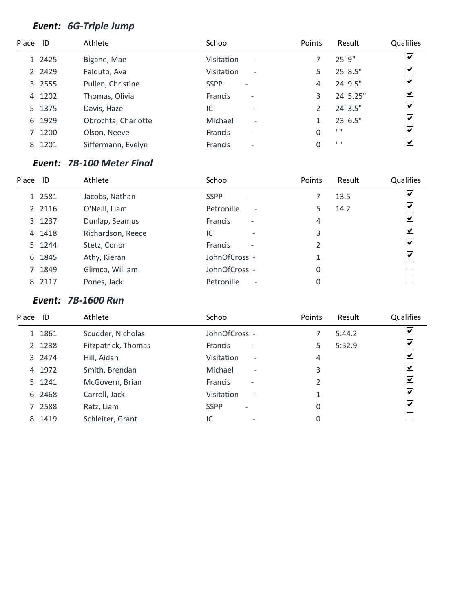# *Event: 6G-Triple Jump*

| Place ID |           | Athlete             | School                                        | Points | Result         | <b>Qualifies</b>        |
|----------|-----------|---------------------|-----------------------------------------------|--------|----------------|-------------------------|
|          | 1 2425    | Bigane, Mae         | <b>Visitation</b><br>$\overline{\phantom{a}}$ |        | 25'9''         | $\blacktriangledown$    |
|          | 2 2 4 2 9 | Falduto, Ava        | <b>Visitation</b><br>$\overline{\phantom{a}}$ |        | 25' 8.5"       | $\blacktriangledown$    |
|          | 3 2555    | Pullen, Christine   | <b>SSPP</b><br>$\overline{\phantom{a}}$       | 4      | 24' 9.5"       | $\overline{\mathbf{v}}$ |
| 4        | 1202      | Thomas, Olivia      | <b>Francis</b><br>$\qquad \qquad$             | 3      | 24' 5.25"      | $\blacktriangledown$    |
|          | 5 1375    | Davis, Hazel        | IC<br>$\overline{\phantom{0}}$                |        | 24' 3.5"       | $\boxed{\checkmark}$    |
| 6        | 1929      | Obrochta, Charlotte | Michael<br>$\overline{\phantom{a}}$           |        | $23'$ 6.5"     | $\overline{\mathbf{v}}$ |
|          | 1200      | Olson, Neeve        | <b>Francis</b><br>$\overline{\phantom{a}}$    | 0      | $\blacksquare$ | $\blacktriangledown$    |
| 8        | 1201      | Siffermann, Evelyn  | <b>Francis</b><br>$\overline{\phantom{a}}$    | 0      | $\blacksquare$ | $\overline{\mathbf{v}}$ |
|          |           |                     |                                               |        |                |                         |

#### *Event: 7B-100 Meter Final*

| Place ID |           | Athlete           | School                                     | Points | Result | Qualifies                    |
|----------|-----------|-------------------|--------------------------------------------|--------|--------|------------------------------|
|          | 1 2581    | Jacobs, Nathan    | <b>SSPP</b><br>$\overline{\phantom{a}}$    |        | 13.5   | $\boxed{\blacktriangledown}$ |
|          | 2 2 1 1 6 | O'Neill, Liam     | Petronille<br>$\overline{\phantom{a}}$     |        | 14.2   | $\overline{\mathbf{v}}$      |
|          | 3 1237    | Dunlap, Seamus    | <b>Francis</b><br>$\overline{\phantom{a}}$ | 4      |        | $\overline{\mathbf{v}}$      |
|          | 4 1418    | Richardson, Reece | IC<br>$\overline{\phantom{0}}$             | 3      |        | $\overline{\mathbf{v}}$      |
|          | 5 1244    | Stetz, Conor      | <b>Francis</b><br>$\overline{\phantom{a}}$ | 2      |        | $\boxed{\blacktriangledown}$ |
|          | 6 1845    | Athy, Kieran      | JohnOfCross -                              |        |        | $\blacktriangleright$        |
|          | 7 1849    | Glimco, William   | JohnOfCross -                              | 0      |        |                              |
|          | 8 2117    | Pones, Jack       | Petronille<br>$\overline{\phantom{a}}$     |        |        |                              |

#### *Event: 7B-1600 Run*

| Place | ID     | Athlete             | School                                        | Points        | Result | <b>Qualifies</b>        |
|-------|--------|---------------------|-----------------------------------------------|---------------|--------|-------------------------|
|       | 1 1861 | Scudder, Nicholas   | JohnOfCross -                                 |               | 5:44.2 | $\overline{\mathbf{v}}$ |
|       | 2 1238 | Fitzpatrick, Thomas | <b>Francis</b><br>$\overline{\phantom{a}}$    | 5             | 5:52.9 | ☑                       |
|       | 3 2474 | Hill, Aidan         | <b>Visitation</b><br>$\overline{\phantom{a}}$ | 4             |        | ☑                       |
|       | 4 1972 | Smith, Brendan      | Michael<br>$\overline{\phantom{a}}$           | 3             |        | ⊻                       |
|       | 5 1241 | McGovern, Brian     | <b>Francis</b><br>$\overline{\phantom{a}}$    | $\mathfrak z$ |        | $ \boldsymbol{v} $      |
|       | 6 2468 | Carroll, Jack       | Visitation<br>$\overline{\phantom{a}}$        |               |        | $ \boldsymbol{v} $      |
|       | 7 2588 | Ratz, Liam          | <b>SSPP</b><br>$\overline{\phantom{a}}$       | 0             |        | $\vert \checkmark$      |
|       | 8 1419 | Schleiter, Grant    | IC<br>$\overline{\phantom{0}}$                | 0             |        |                         |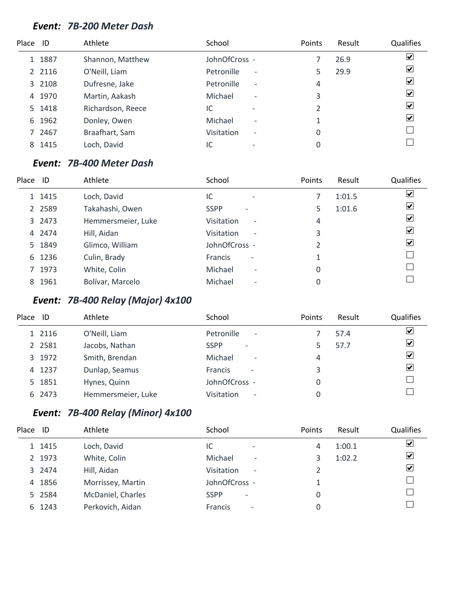#### *Event: 7B-200 Meter Dash*

| Place ID |        | Athlete           | School                                        | Points | Result | Qualifies               |
|----------|--------|-------------------|-----------------------------------------------|--------|--------|-------------------------|
|          | 1 1887 | Shannon, Matthew  | JohnOfCross -                                 |        | 26.9   | $\blacktriangledown$    |
|          | 2 2116 | O'Neill, Liam     | Petronille<br>$\overline{\phantom{a}}$        |        | 29.9   | $\overline{\mathbf{v}}$ |
|          | 3 2108 | Dufresne, Jake    | Petronille<br>$\overline{\phantom{a}}$        | 4      |        | ⊻                       |
| 4        | 1970   | Martin, Aakash    | Michael<br>$\overline{\phantom{a}}$           | 3      |        | $\blacktriangledown$    |
|          | 5 1418 | Richardson, Reece | IC<br>$\overline{\phantom{0}}$                | 2      |        | $\blacktriangledown$    |
| 6        | 1962   | Donley, Owen      | Michael<br>$\overline{\phantom{a}}$           |        |        | $\blacktriangledown$    |
|          | 7 2467 | Braafhart, Sam    | <b>Visitation</b><br>$\overline{\phantom{a}}$ | 0      |        |                         |
| 8        | 1415   | Loch, David       | IC                                            | 0      |        |                         |

#### *Event: 7B-400 Meter Dash*

| Place | ID        | Athlete            | School                                        | Points | Result | <b>Qualifies</b>             |
|-------|-----------|--------------------|-----------------------------------------------|--------|--------|------------------------------|
|       | 1 1415    | Loch, David        | IC<br>$\overline{\phantom{0}}$                |        | 1:01.5 | $\boxed{\blacktriangledown}$ |
|       | 2 2 5 8 9 | Takahashi, Owen    | <b>SSPP</b><br>$\overline{\phantom{0}}$       | 5      | 1:01.6 | $\boxed{\checkmark}$         |
|       | 3 2473    | Hemmersmeier, Luke | Visitation<br>$\overline{\phantom{a}}$        | 4      |        | $\overline{\mathbf{v}}$      |
|       | 4 2474    | Hill, Aidan        | <b>Visitation</b><br>$\overline{\phantom{a}}$ | 3      |        | ⊻                            |
|       | 5 1849    | Glimco, William    | JohnOfCross -                                 | 2      |        | ⊻                            |
|       | 6 1236    | Culin, Brady       | <b>Francis</b><br>$\overline{\phantom{a}}$    |        |        |                              |
|       | 7 1973    | White, Colin       | Michael<br>$\overline{\phantom{a}}$           | 0      |        |                              |
|       | 8 1961    | Bolívar, Marcelo   | Michael<br>$\overline{\phantom{a}}$           | 0      |        |                              |

# *Event: 7B-400 Relay (Major) 4x100*

| Place | ID        | Athlete            | School                                        | Points | Result | Qualifies               |
|-------|-----------|--------------------|-----------------------------------------------|--------|--------|-------------------------|
|       | 1 2116    | O'Neill, Liam      | Petronille<br>$\overline{\phantom{a}}$        |        | 57.4   | ⊻                       |
|       | 2 2 5 8 1 | Jacobs, Nathan     | <b>SSPP</b><br>$\overline{\phantom{0}}$       |        | 57.7   | $\overline{\mathbf{v}}$ |
|       | 3 1972    | Smith, Brendan     | Michael<br>$\overline{\phantom{a}}$           | 4      |        | ⊻                       |
|       | 4 1237    | Dunlap, Seamus     | <b>Francis</b><br>$\overline{\phantom{a}}$    | 3      |        | ⊻                       |
|       | 5 1851    | Hynes, Quinn       | JohnOfCross -                                 |        |        |                         |
|       | 6 2473    | Hemmersmeier, Luke | <b>Visitation</b><br>$\overline{\phantom{a}}$ |        |        |                         |

# *Event: 7B-400 Relay (Minor) 4x100*

| Place ID |        | Athlete           | School                                  | Points | Result | Qualifies               |
|----------|--------|-------------------|-----------------------------------------|--------|--------|-------------------------|
|          | 1 1415 | Loch, David       | IC<br>$\overline{\phantom{a}}$          | 4      | 1:00.1 | ☑                       |
|          | 2 1973 | White, Colin      | Michael<br>$\overline{\phantom{a}}$     | 3      | 1:02.2 | $\overline{\mathbf{v}}$ |
|          | 3 2474 | Hill, Aidan       | Visitation<br>$\overline{\phantom{a}}$  |        |        | ⊻                       |
|          | 4 1856 | Morrissey, Martin | JohnOfCross -                           |        |        |                         |
|          | 5 2584 | McDaniel, Charles | <b>SSPP</b><br>$\overline{\phantom{a}}$ | 0      |        |                         |
|          | 6 1243 | Perkovich, Aidan  | Francis<br>$\overline{\phantom{a}}$     | 0      |        |                         |
|          |        |                   |                                         |        |        |                         |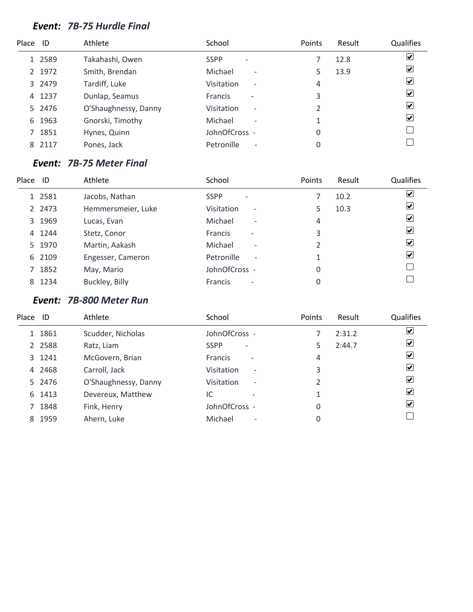#### *Event: 7B-75 Hurdle Final*

| Place ID |        | Athlete              | School                                        | Points | Result | <b>Qualifies</b>        |
|----------|--------|----------------------|-----------------------------------------------|--------|--------|-------------------------|
|          | 1 2589 | Takahashi, Owen      | <b>SSPP</b><br>$\overline{\phantom{0}}$       |        | 12.8   | $\blacktriangledown$    |
|          | 2 1972 | Smith, Brendan       | Michael<br>$\overline{\phantom{a}}$           |        | 13.9   | $\blacktriangledown$    |
|          | 3 2479 | Tardiff, Luke        | <b>Visitation</b><br>$\overline{\phantom{a}}$ | 4      |        | $\overline{\mathbf{v}}$ |
| 4        | 1237   | Dunlap, Seamus       | <b>Francis</b><br>$\overline{\phantom{0}}$    | 3      |        | $\blacktriangledown$    |
|          | 5 2476 | O'Shaughnessy, Danny | <b>Visitation</b><br>$\overline{\phantom{a}}$ | 2      |        | $\blacktriangledown$    |
| 6        | 1963   | Gnorski, Timothy     | Michael<br>$\overline{\phantom{a}}$           |        |        | $\blacktriangledown$    |
|          | 7 1851 | Hynes, Quinn         | JohnOfCross -                                 | 0      |        |                         |
| 8.       | 2117   | Pones, Jack          | Petronille<br>$\overline{\phantom{a}}$        | 0      |        |                         |

#### *Event: 7B-75 Meter Final*

| Place | ID     | Athlete            | School                                     | Points         | Result | Qualifies                    |
|-------|--------|--------------------|--------------------------------------------|----------------|--------|------------------------------|
|       | 1 2581 | Jacobs, Nathan     | <b>SSPP</b><br>$\overline{\phantom{a}}$    |                | 10.2   | $\boxed{\blacktriangledown}$ |
|       | 2 2473 | Hemmersmeier, Luke | Visitation<br>$\overline{\phantom{a}}$     | 5              | 10.3   | $\overline{\mathbf{v}}$      |
|       | 3 1969 | Lucas, Evan        | Michael<br>$\overline{\phantom{a}}$        | 4              |        | $\overline{\mathbf{v}}$      |
|       | 4 1244 | Stetz, Conor       | <b>Francis</b><br>$\overline{\phantom{0}}$ | 3              |        | $\boxed{\blacktriangledown}$ |
|       | 5 1970 | Martin, Aakash     | Michael<br>$\overline{\phantom{a}}$        | $\mathfrak{p}$ |        | $\boxed{\blacktriangledown}$ |
|       | 6 2109 | Engesser, Cameron  | Petronille<br>$\overline{\phantom{a}}$     |                |        | $\overline{\mathbf{v}}$      |
|       | 7 1852 | May, Mario         | JohnOfCross -                              | 0              |        |                              |
|       | 8 1234 | Buckley, Billy     | <b>Francis</b><br>$\overline{\phantom{a}}$ | 0              |        |                              |

## *Event: 7B-800 Meter Run*

| Place ID |           | Athlete              | School                                     | <b>Points</b> | Result | Qualifies                   |
|----------|-----------|----------------------|--------------------------------------------|---------------|--------|-----------------------------|
|          | 1 1861    | Scudder, Nicholas    | JohnOfCross -                              |               | 2:31.2 | V                           |
|          | 2 2 5 8 8 | Ratz, Liam           | <b>SSPP</b><br>$\overline{\phantom{a}}$    | 5             | 2:44.7 | ⊻                           |
|          | 3 1241    | McGovern, Brian      | <b>Francis</b><br>$\overline{\phantom{a}}$ | 4             |        | ⊻                           |
|          | 4 2468    | Carroll, Jack        | Visitation<br>$\overline{\phantom{a}}$     | 3             |        | $\vert \checkmark\vert$     |
|          | 5 2476    | O'Shaughnessy, Danny | Visitation<br>$\overline{\phantom{a}}$     |               |        | $\left  \mathbf{v} \right $ |
|          | 6 1413    | Devereux, Matthew    | IC<br>$\overline{\phantom{0}}$             | 1             |        | $\left  \mathbf{v} \right $ |
|          | 7 1848    | Fink, Henry          | JohnOfCross -                              | 0             |        | $ \boldsymbol{v} $          |
|          | 8 1959    | Ahern, Luke          | Michael<br>$\overline{\phantom{0}}$        | 0             |        |                             |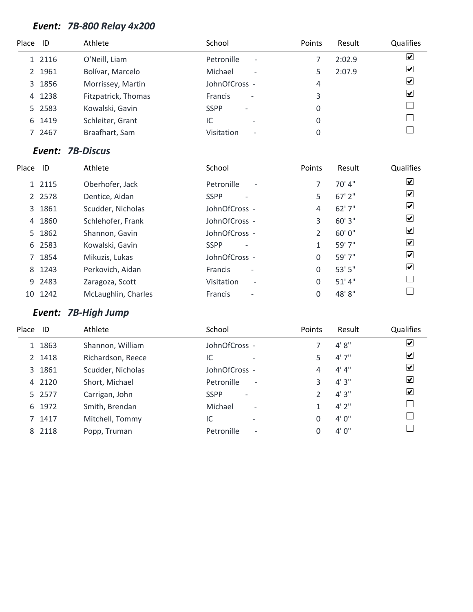# *Event: 7B-800 Relay 4x200*

| Place ID |        | Athlete             | School                                     | Points | Result | Qualifies               |
|----------|--------|---------------------|--------------------------------------------|--------|--------|-------------------------|
|          | 1 2116 | O'Neill, Liam       | Petronille<br>$\overline{\phantom{a}}$     |        | 2:02.9 | $\overline{\mathbf{v}}$ |
|          | 2 1961 | Bolívar, Marcelo    | Michael<br>$\overline{\phantom{a}}$        |        | 2:07.9 | $\overline{\mathbf{v}}$ |
|          | 3 1856 | Morrissey, Martin   | JohnOfCross -                              | 4      |        | $\overline{\mathbf{v}}$ |
|          | 4 1238 | Fitzpatrick, Thomas | <b>Francis</b><br>$\overline{\phantom{a}}$ | 3      |        | $\blacktriangledown$    |
|          | 5 2583 | Kowalski, Gavin     | <b>SSPP</b><br>$\overline{\phantom{a}}$    | 0      |        |                         |
| 6        | 1419   | Schleiter, Grant    | IC                                         | 0      |        |                         |
|          | 2467   | Braafhart, Sam      | Visitation<br>$\overline{\phantom{a}}$     | 0      |        |                         |

#### *Event: 7B-Discus*

| Place ID |           | Athlete             | School                                     | <b>Points</b> | Result   | Qualifies            |
|----------|-----------|---------------------|--------------------------------------------|---------------|----------|----------------------|
|          | 1 2115    | Oberhofer, Jack     | Petronille<br>$\overline{\phantom{a}}$     |               | 70' 4"   | $\boxed{\checkmark}$ |
|          | 2 2 5 7 8 | Dentice, Aidan      | <b>SSPP</b>                                | 5             | $67'$ 2" | ☑                    |
|          | 3 1861    | Scudder, Nicholas   | JohnOfCross -                              | 4             | 62'7''   | ☑                    |
| 4        | 1860      | Schlehofer, Frank   | JohnOfCross -                              | 3             | 60' 3"   | ☑                    |
|          | 5 1862    | Shannon, Gavin      | JohnOfCross -                              | 2             | 60'0''   | ☑                    |
|          | 6 2583    | Kowalski, Gavin     | <b>SSPP</b>                                | 1             | 59' 7"   | $\boxed{\checkmark}$ |
|          | 7 1854    | Mikuzis, Lukas      | JohnOfCross -                              | 0             | 59' 7"   | ☑                    |
| 8        | 1243      | Perkovich, Aidan    | <b>Francis</b><br>$\overline{\phantom{a}}$ | 0             | 53'5''   | ☑                    |
|          | 9 2483    | Zaragoza, Scott     | Visitation<br>$\overline{\phantom{a}}$     | 0             | 51' 4''  |                      |
|          | 10 1242   | McLaughlin, Charles | <b>Francis</b><br>۰                        | $\Omega$      | 48'8"    |                      |
|          |           |                     |                                            |               |          |                      |

# *Event: 7B-High Jump*

| Place ID |        | Athlete           | School                                  | Points         | Result  | Qualifies                   |
|----------|--------|-------------------|-----------------------------------------|----------------|---------|-----------------------------|
|          | 1 1863 | Shannon, William  | JohnOfCross -                           |                | 4'8''   | $\blacktriangledown$        |
|          | 2 1418 | Richardson, Reece | IC<br>$\overline{\phantom{0}}$          | 5              | 4'7''   | ☑                           |
|          | 3 1861 | Scudder, Nicholas | JohnOfCross -                           | 4              | 4' 4''  | $\boxed{\checkmark}$        |
|          | 4 2120 | Short, Michael    | Petronille<br>$\overline{\phantom{a}}$  | 3              | 4'3''   | ☑                           |
|          | 5 2577 | Carrigan, John    | <b>SSPP</b><br>$\overline{\phantom{a}}$ | $\mathfrak{D}$ | 4'3''   | $\vert\bm{\mathsf{v}}\vert$ |
| 6        | 1972   | Smith, Brendan    | Michael<br>$\overline{\phantom{a}}$     |                | $4'$ 2" |                             |
|          | 7 1417 | Mitchell, Tommy   | IC<br>$\overline{\phantom{0}}$          | 0              | 4'0''   |                             |
|          | 8 2118 | Popp, Truman      | Petronille<br>$\overline{\phantom{a}}$  | 0              | 4'0''   |                             |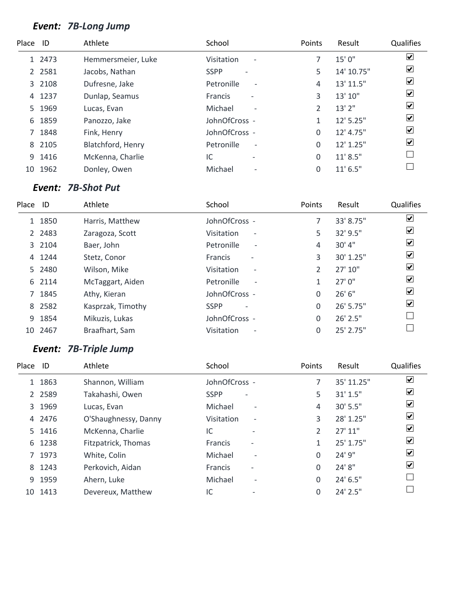# *Event: 7B-Long Jump*

| Place ID |           | Athlete            | School                                 | Points         | Result     | Qualifies                    |
|----------|-----------|--------------------|----------------------------------------|----------------|------------|------------------------------|
|          | 1 2473    | Hemmersmeier, Luke | Visitation<br>$\overline{\phantom{a}}$ |                | 15'0''     | $\overline{\mathbf{v}}$      |
|          | 2 2 5 8 1 | Jacobs, Nathan     | <b>SSPP</b>                            | 5              | 14' 10.75" | $\overline{\mathbf{v}}$      |
|          | 3 2108    | Dufresne, Jake     | Petronille<br>$\overline{\phantom{a}}$ | 4              | 13' 11.5"  | $\blacktriangledown$         |
| 4        | 1237      | Dunlap, Seamus     | Francis<br>$\overline{a}$              | 3              | 13' 10"    | ☑                            |
|          | 5 1969    | Lucas, Evan        | Michael<br>$\overline{\phantom{a}}$    | $\mathfrak{D}$ | 13'2''     | $\overline{\mathbf{v}}$      |
| 6        | 1859      | Panozzo, Jake      | JohnOfCross -                          |                | 12' 5.25"  | ☑                            |
|          | 7 1848    | Fink, Henry        | JohnOfCross -                          | $\Omega$       | 12' 4.75"  | $\boxed{\blacktriangledown}$ |
|          | 8 2105    | Blatchford, Henry  | Petronille<br>$\overline{\phantom{a}}$ | $\Omega$       | 12' 1.25"  | ☑                            |
|          | 9 1416    | McKenna, Charlie   | IC<br>$\overline{\phantom{a}}$         | 0              | 11' 8.5''  |                              |
| 10       | 1962      | Donley, Owen       | Michael<br>$\overline{\phantom{a}}$    | $\Omega$       | $11'$ 6.5" |                              |

## *Event: 7B-Shot Put*

| Place | - ID      | Athlete           | School                                     | Points        | Result    | Qualifies               |
|-------|-----------|-------------------|--------------------------------------------|---------------|-----------|-------------------------|
|       | 1 1850    | Harris, Matthew   | JohnOfCross -                              |               | 33' 8.75" | $\blacktriangledown$    |
|       | 2 2 4 8 3 | Zaragoza, Scott   | Visitation<br>$\overline{\phantom{a}}$     | 5             | 32' 9.5"  | ⊻                       |
|       | 3 2104    | Baer, John        | Petronille<br>$\overline{\phantom{a}}$     | 4             | 30' 4"    | $\blacktriangledown$    |
| 4     | 1244      | Stetz, Conor      | <b>Francis</b><br>$\overline{\phantom{a}}$ | 3             | 30' 1.25" | $\overline{\mathbf{v}}$ |
|       | 5 2480    | Wilson, Mike      | Visitation<br>$\overline{\phantom{a}}$     | $\mathcal{P}$ | 27'10''   | $\overline{\mathbf{v}}$ |
|       | 6 2114    | McTaggart, Aiden  | Petronille<br>$\overline{\phantom{a}}$     | 1             | 27'0''    | ⊻                       |
| 7     | 1845      | Athy, Kieran      | JohnOfCross -                              | 0             | 26' 6''   | $\overline{\mathbf{v}}$ |
|       | 8 2582    | Kasprzak, Timothy | <b>SSPP</b><br>$\overline{\phantom{0}}$    | 0             | 26' 5.75" | $\blacktriangledown$    |
| 9     | 1854      | Mikuzis, Lukas    | JohnOfCross -                              | 0             | 26' 2.5"  |                         |
|       | 10 2467   | Braafhart, Sam    | Visitation<br>$\overline{\phantom{a}}$     | 0             | 25' 2.75" |                         |

# *Event: 7B-Triple Jump*

| Place | ID        | Athlete              | School         |                          | Points        | Result        | Qualifies                    |
|-------|-----------|----------------------|----------------|--------------------------|---------------|---------------|------------------------------|
|       | 1 1863    | Shannon, William     | JohnOfCross -  |                          |               | 35' 11.25"    | $\overline{\mathbf{v}}$      |
|       | 2 2 5 8 9 | Takahashi, Owen      | <b>SSPP</b>    |                          | 5             | 31' 1.5"      | $\overline{\mathbf{v}}$      |
|       | 3 1969    | Lucas, Evan          | Michael        | $\overline{\phantom{a}}$ | 4             | 30' 5.5"      | $\boxed{\blacktriangledown}$ |
|       | 4 2476    | O'Shaughnessy, Danny | Visitation     | $\overline{\phantom{a}}$ | 3             | 28' 1.25"     | ☑                            |
|       | 5 1416    | McKenna, Charlie     | IC             |                          | $\mathcal{P}$ | 27' 11''      | $\overline{\mathbf{v}}$      |
|       | 6 1238    | Fitzpatrick, Thomas  | <b>Francis</b> |                          |               | 25' 1.75"     | ☑                            |
|       | 7 1973    | White, Colin         | Michael        | $\overline{\phantom{a}}$ | 0             | 24' 9"        | ☑                            |
|       | 8 1243    | Perkovich, Aidan     | <b>Francis</b> | $\overline{\phantom{0}}$ | 0             | 24' 8"        | ☑                            |
|       | 9 1959    | Ahern, Luke          | Michael        | $\overline{\phantom{a}}$ | 0             | 24' 6.5"      |                              |
| 10    | 1413      | Devereux, Matthew    | IC             |                          | 0             | $24'$ $2.5''$ |                              |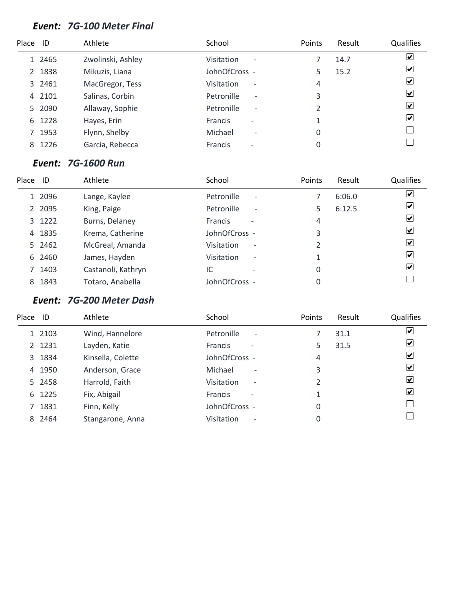#### *Event: 7G-100 Meter Final*

| Place ID |        | Athlete           | School                                        | Points | Result | Qualifies               |
|----------|--------|-------------------|-----------------------------------------------|--------|--------|-------------------------|
|          | 1 2465 | Zwolinski, Ashley | <b>Visitation</b><br>$\overline{\phantom{a}}$ |        | 14.7   | $\blacktriangledown$    |
|          | 2 1838 | Mikuzis, Liana    | JohnOfCross -                                 |        | 15.2   | $\blacktriangledown$    |
|          | 3 2461 | MacGregor, Tess   | <b>Visitation</b><br>$\overline{\phantom{a}}$ | 4      |        | $\overline{\mathbf{v}}$ |
|          | 4 2101 | Salinas, Corbin   | Petronille<br>$\overline{\phantom{a}}$        | 3      |        | $\blacktriangledown$    |
|          | 5 2090 | Allaway, Sophie   | Petronille<br>$\overline{\phantom{a}}$        | 2      |        | $\blacktriangledown$    |
| 6        | 1228   | Hayes, Erin       | <b>Francis</b><br>$\overline{\phantom{0}}$    |        |        | $\blacktriangledown$    |
|          | 1953   | Flynn, Shelby     | Michael<br>$\overline{\phantom{a}}$           | 0      |        |                         |
| 8        | 1226   | Garcia, Rebecca   | <b>Francis</b><br>$\overline{\phantom{0}}$    | 0      |        |                         |

#### *Event: 7G-1600 Run*

| Place | ID     | Athlete            | School                                     | Points | Result | <b>Qualifies</b>             |
|-------|--------|--------------------|--------------------------------------------|--------|--------|------------------------------|
|       | 1 2096 | Lange, Kaylee      | Petronille<br>$\overline{\phantom{a}}$     |        | 6:06.0 | $\boxed{\blacktriangledown}$ |
|       | 2 2095 | King, Paige        | Petronille<br>$\overline{\phantom{a}}$     | 5.     | 6:12.5 | $\blacktriangledown$         |
|       | 3 1222 | Burns, Delaney     | <b>Francis</b><br>$\overline{\phantom{a}}$ | 4      |        | $\overline{\mathbf{v}}$      |
|       | 4 1835 | Krema, Catherine   | JohnOfCross -                              | 3      |        | $\overline{\mathbf{v}}$      |
|       | 5 2462 | McGreal, Amanda    | Visitation<br>$\qquad \qquad \blacksquare$ | 2      |        | $\overline{\mathbf{v}}$      |
|       | 6 2460 | James, Hayden      | Visitation<br>$\overline{\phantom{a}}$     |        |        | $\blacktriangledown$         |
|       | 7 1403 | Castanoli, Kathryn | IC                                         | 0      |        | $ \boldsymbol{v} $           |
|       | 8 1843 | Totaro, Anabella   | JohnOfCross -                              |        |        |                              |

# *Event: 7G-200 Meter Dash*

| Place | ID     | Athlete           | School                                        | Points | Result | Qualifies               |
|-------|--------|-------------------|-----------------------------------------------|--------|--------|-------------------------|
|       | 1 2103 | Wind, Hannelore   | Petronille<br>$\overline{\phantom{a}}$        |        | 31.1   | ⊻                       |
|       | 2 1231 | Layden, Katie     | <b>Francis</b>                                | 5      | 31.5   | V                       |
|       | 3 1834 | Kinsella, Colette | JohnOfCross -                                 | 4      |        | V                       |
|       | 4 1950 | Anderson, Grace   | Michael<br>$\overline{\phantom{a}}$           | 3      |        | $\vert \checkmark\vert$ |
|       | 5 2458 | Harrold, Faith    | <b>Visitation</b><br>$\overline{\phantom{a}}$ |        |        | $\vert \checkmark\vert$ |
|       | 6 1225 | Fix, Abigail      | <b>Francis</b><br>$\overline{\phantom{a}}$    |        |        | $\vert \checkmark$      |
|       | 7 1831 | Finn, Kelly       | JohnOfCross -                                 | 0      |        |                         |
|       | 8 2464 | Stangarone, Anna  | <b>Visitation</b><br>$\overline{\phantom{0}}$ | 0      |        |                         |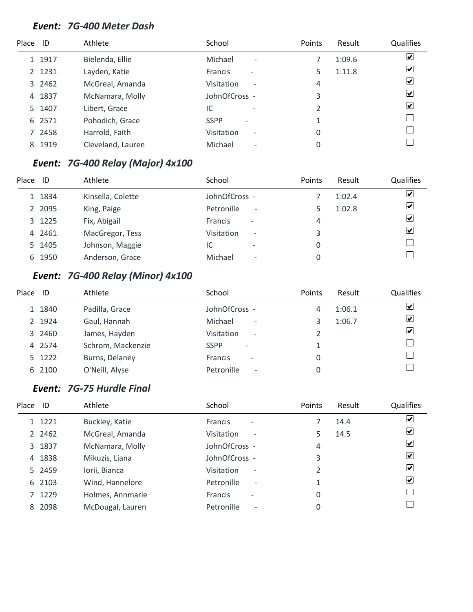#### *Event: 7G-400 Meter Dash*

| Place ID |        | Athlete           | School                                        | Points | Result | Qualifies               |
|----------|--------|-------------------|-----------------------------------------------|--------|--------|-------------------------|
|          | 1 1917 | Bielenda, Ellie   | Michael<br>$\overline{\phantom{a}}$           |        | 1:09.6 | $\overline{\mathbf{v}}$ |
|          | 2 1231 | Layden, Katie     | <b>Francis</b><br>$\overline{\phantom{a}}$    |        | 1:11.8 | $\overline{\mathbf{v}}$ |
|          | 3 2462 | McGreal, Amanda   | <b>Visitation</b><br>$\overline{\phantom{a}}$ | 4      |        | $\blacktriangledown$    |
| 4        | 1837   | McNamara, Molly   | JohnOfCross -                                 | 3      |        | $\blacktriangledown$    |
|          | 5 1407 | Libert, Grace     | IC<br>$\overline{\phantom{0}}$                | 2      |        | $\blacktriangledown$    |
|          | 6 2571 | Pohodich, Grace   | <b>SSPP</b><br>$\qquad \qquad$                |        |        |                         |
|          | 7 2458 | Harrold, Faith    | <b>Visitation</b><br>$\overline{\phantom{a}}$ | 0      |        |                         |
| 8        | 1919   | Cleveland, Lauren | Michael<br>$\overline{\phantom{a}}$           | 0      |        |                         |

# *Event: 7G-400 Relay (Major) 4x100*

| Place | ID     | Athlete           | School                                     | <b>Points</b> | Result | Qualifies                    |
|-------|--------|-------------------|--------------------------------------------|---------------|--------|------------------------------|
|       | 1 1834 | Kinsella, Colette | JohnOfCross -                              |               | 1:02.4 | $\boxed{\blacktriangledown}$ |
|       | 2 2095 | King, Paige       | Petronille<br>$\overline{\phantom{a}}$     |               | 1:02.8 | $\blacktriangledown$         |
|       | 3 1225 | Fix, Abigail      | <b>Francis</b><br>$\overline{\phantom{a}}$ | 4             |        | $\blacktriangledown$         |
|       | 4 2461 | MacGregor, Tess   | Visitation<br>$\overline{\phantom{a}}$     | 3             |        | $\overline{\mathbf{v}}$      |
|       | 5 1405 | Johnson, Maggie   | IC<br>$\overline{\phantom{0}}$             |               |        |                              |
|       | 6 1950 | Anderson, Grace   | Michael<br>$\overline{\phantom{a}}$        |               |        |                              |

# *Event: 7G-400 Relay (Minor) 4x100*

| Place | ID     | Athlete           | School                                     | Points | Result | Qualifies                    |
|-------|--------|-------------------|--------------------------------------------|--------|--------|------------------------------|
|       | 1 1840 | Padilla, Grace    | JohnOfCross -                              | 4      | 1:06.1 | $\overline{\mathbf{v}}$      |
|       | 2 1924 | Gaul, Hannah      | Michael<br>$\overline{\phantom{a}}$        |        | 1:06.7 | $\overline{\mathbf{v}}$      |
|       | 3 2460 | James, Hayden     | Visitation<br>$\overline{\phantom{a}}$     |        |        | $\boxed{\blacktriangledown}$ |
|       | 4 2574 | Schrom, Mackenzie | <b>SSPP</b><br>$\overline{\phantom{a}}$    |        |        |                              |
|       | 5 1222 | Burns, Delaney    | <b>Francis</b><br>$\overline{\phantom{a}}$ | 0      |        |                              |
|       | 6 2100 | O'Neill, Alyse    | Petronille<br>٠                            | 0      |        |                              |

# *Event: 7G-75 Hurdle Final*

| Place ID |           | Athlete          | School                                        | Points | Result | <b>Qualifies</b>        |
|----------|-----------|------------------|-----------------------------------------------|--------|--------|-------------------------|
|          | 1 1221    | Buckley, Katie   | Francis<br>$\overline{\phantom{a}}$           |        | 14.4   | $\overline{\mathbf{v}}$ |
|          | 2 2 4 6 2 | McGreal, Amanda  | <b>Visitation</b><br>$\overline{\phantom{a}}$ | 5      | 14.5   | ☑                       |
|          | 3 1837    | McNamara, Molly  | JohnOfCross -                                 | 4      |        | $\blacktriangledown$    |
|          | 4 1838    | Mikuzis, Liana   | JohnOfCross -                                 | 3      |        | ⊻                       |
|          | 5 2459    | Iorii, Bianca    | <b>Visitation</b><br>$\overline{\phantom{a}}$ |        |        | $\blacktriangledown$    |
|          | 6 2103    | Wind, Hannelore  | Petronille<br>$\overline{\phantom{a}}$        |        |        | $\blacktriangledown$    |
|          | 7 1229    | Holmes, Annmarie | <b>Francis</b><br>$\overline{\phantom{a}}$    | 0      |        |                         |
| 8        | 2098      | McDougal, Lauren | Petronille<br>$\overline{\phantom{a}}$        | 0      |        |                         |
|          |           |                  |                                               |        |        |                         |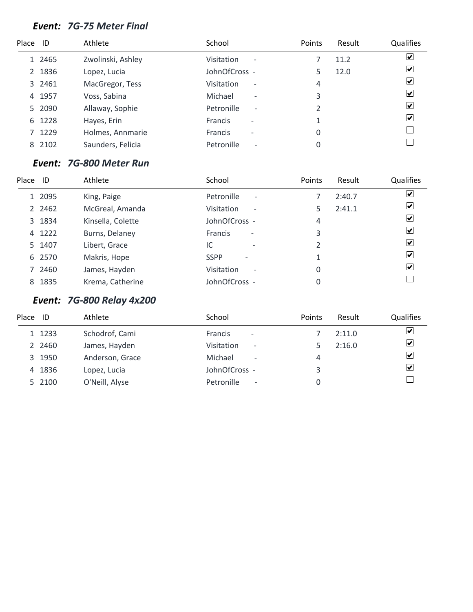#### *Event: 7G-75 Meter Final*

| Place ID |        | Athlete           | School                                        | Points | Result | <b>Qualifies</b>        |
|----------|--------|-------------------|-----------------------------------------------|--------|--------|-------------------------|
|          | 1 2465 | Zwolinski, Ashley | <b>Visitation</b><br>$\overline{\phantom{a}}$ |        | 11.2   | $\blacktriangledown$    |
|          | 2 1836 | Lopez, Lucia      | JohnOfCross -                                 |        | 12.0   | $\blacktriangledown$    |
|          | 3 2461 | MacGregor, Tess   | <b>Visitation</b><br>$\overline{\phantom{a}}$ | 4      |        | $\overline{\mathbf{v}}$ |
| 4        | 1957   | Voss, Sabina      | Michael<br>$\overline{\phantom{a}}$           | 3      |        | $\blacktriangledown$    |
|          | 5 2090 | Allaway, Sophie   | Petronille<br>$\overline{\phantom{a}}$        | 2      |        | $\blacktriangledown$    |
| 6        | 1228   | Hayes, Erin       | <b>Francis</b><br>$\overline{\phantom{0}}$    |        |        | $\blacktriangledown$    |
|          | 7 1229 | Holmes, Annmarie  | <b>Francis</b><br>$\overline{\phantom{0}}$    | 0      |        |                         |
|          | 8 2102 | Saunders, Felicia | Petronille<br>$\overline{\phantom{0}}$        | 0      |        |                         |

### *Event: 7G-800 Meter Run*

| Place | ID     | Athlete           | School                                        | Points | Result | Qualifies               |
|-------|--------|-------------------|-----------------------------------------------|--------|--------|-------------------------|
|       | 1 2095 | King, Paige       | Petronille<br>$\overline{\phantom{a}}$        |        | 2:40.7 | ☑                       |
|       | 2 2462 | McGreal, Amanda   | <b>Visitation</b><br>$\overline{\phantom{a}}$ | 5      | 2:41.1 | $\overline{\mathbf{v}}$ |
|       | 3 1834 | Kinsella, Colette | JohnOfCross -                                 | 4      |        | $\overline{\mathbf{v}}$ |
|       | 4 1222 | Burns, Delaney    | Francis<br>$\overline{\phantom{a}}$           | 3      |        | $\overline{\mathbf{v}}$ |
|       | 5 1407 | Libert, Grace     | IC<br>$\overline{\phantom{a}}$                | 2      |        | $\boxed{\checkmark}$    |
|       | 6 2570 | Makris, Hope      | <b>SSPP</b><br>$\overline{\phantom{a}}$       |        |        | ☑                       |
|       | 7 2460 | James, Hayden     | Visitation<br>$\overline{\phantom{a}}$        | 0      |        | ☑                       |
|       | 8 1835 | Krema, Catherine  | JohnOfCross -                                 | 0      |        |                         |

# *Event: 7G-800 Relay 4x200*

| Place | ID     | Athlete         | School                                     | <b>Points</b> | Result | <b>Qualifies</b>        |
|-------|--------|-----------------|--------------------------------------------|---------------|--------|-------------------------|
|       | 1 1233 | Schodrof, Cami  | <b>Francis</b><br>$\overline{\phantom{a}}$ |               | 2:11.0 | ☑                       |
|       | 2 2460 | James, Hayden   | Visitation<br>$\overline{\phantom{a}}$     |               | 2:16.0 | $\blacktriangledown$    |
|       | 3 1950 | Anderson, Grace | Michael<br>$\overline{\phantom{a}}$        | 4             |        | $\overline{\mathbf{v}}$ |
|       | 4 1836 | Lopez, Lucia    | JohnOfCross -                              | 3             |        | $\overline{\mathbf{v}}$ |
|       | 5 2100 | O'Neill, Alyse  | Petronille<br>$\overline{\phantom{a}}$     |               |        |                         |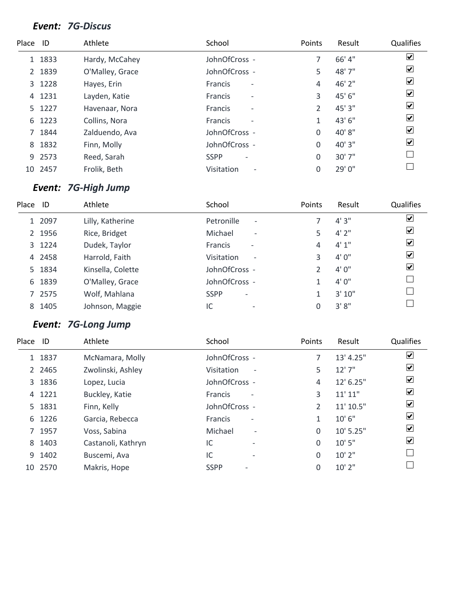#### *Event: 7G-Discus*

| Place ID |         | Athlete         | School                                     | Points | Result | Qualifies                    |
|----------|---------|-----------------|--------------------------------------------|--------|--------|------------------------------|
|          | 1 1833  | Hardy, McCahey  | JohnOfCross -                              |        | 66' 4" | $\overline{\mathbf{v}}$      |
|          | 2 1839  | O'Malley, Grace | JohnOfCross -                              | 5      | 48' 7" | ⊻                            |
|          | 3 1228  | Hayes, Erin     | Francis<br>$\overline{\phantom{a}}$        | 4      | 46' 2" | ☑                            |
| 4        | 1231    | Layden, Katie   | <b>Francis</b><br>$\overline{\phantom{a}}$ | 3      | 45' 6" | $\boxed{\checkmark}$         |
|          | 5 1227  | Havenaar, Nora  | Francis<br>$\overline{\phantom{a}}$        | 2      | 45' 3" | $\overline{\mathbf{v}}$      |
| 6        | 1223    | Collins, Nora   | <b>Francis</b><br>$\overline{\phantom{a}}$ | 1      | 43'6"  | $\overline{\mathbf{v}}$      |
|          | 1844    | Zalduendo, Ava  | JohnOfCross -                              | 0      | 40'8"  | $\boxed{\blacktriangledown}$ |
| 8        | 1832    | Finn, Molly     | JohnOfCross -                              | 0      | 40' 3" | $\boxed{\blacktriangledown}$ |
|          | 9 2573  | Reed, Sarah     | <b>SSPP</b><br>$\overline{\phantom{a}}$    | 0      | 30'7'' |                              |
|          | 10 2457 | Frolik, Beth    | Visitation<br>$\overline{\phantom{a}}$     | 0      | 29'0"  |                              |

# *Event: 7G-High Jump*

| Place | ID     | Athlete           | School                                     | <b>Points</b> | Result | <b>Qualifies</b>        |
|-------|--------|-------------------|--------------------------------------------|---------------|--------|-------------------------|
|       | 1 2097 | Lilly, Katherine  | Petronille<br>$\overline{\phantom{a}}$     |               | 4'3''  | $\overline{\mathbf{v}}$ |
|       | 2 1956 | Rice, Bridget     | Michael<br>$\overline{\phantom{a}}$        | 5             | 4'2''  | $\blacktriangledown$    |
|       | 3 1224 | Dudek, Taylor     | <b>Francis</b><br>$\overline{\phantom{a}}$ | 4             | 4'1''  | $\blacktriangledown$    |
|       | 4 2458 | Harrold, Faith    | Visitation<br>$\overline{\phantom{a}}$     | 3             | 4'0''  | $\blacktriangledown$    |
|       | 5 1834 | Kinsella, Colette | JohnOfCross -                              | $\mathcal{P}$ | 4'0''  | $\blacktriangledown$    |
| 6     | 1839   | O'Malley, Grace   | JohnOfCross -                              |               | 4'0''  |                         |
|       | 7 2575 | Wolf, Mahlana     | <b>SSPP</b><br>$\overline{\phantom{a}}$    |               | 3'10'' |                         |
|       | 8 1405 | Johnson, Maggie   | IC<br>$\overline{\phantom{a}}$             |               | 3'8''  |                         |

# *Event: 7G-Long Jump*

| Place ID |          | Athlete            | School         |                          | Points | Result    | Qualifies             |
|----------|----------|--------------------|----------------|--------------------------|--------|-----------|-----------------------|
|          | 1 1837   | McNamara, Molly    | JohnOfCross -  |                          | 7      | 13' 4.25" | ☑                     |
|          | 2 2 46 5 | Zwolinski, Ashley  | Visitation     | $\overline{\phantom{a}}$ | 5      | 12'7''    | ⊻                     |
|          | 3 1836   | Lopez, Lucia       | JohnOfCross -  |                          | 4      | 12' 6.25" | $\blacktriangleright$ |
| 4        | 1221     | Buckley, Katie     | <b>Francis</b> | $\overline{\phantom{a}}$ | 3      | 11' 11"   | ⊻                     |
|          | 5 1831   | Finn, Kelly        | JohnOfCross -  |                          | 2      | 11' 10.5" | ☑                     |
| 6        | 1226     | Garcia, Rebecca    | <b>Francis</b> | $\overline{\phantom{a}}$ | 1      | 10'6''    | ☑                     |
|          | 7 1957   | Voss, Sabina       | Michael        | $\overline{\phantom{a}}$ | 0      | 10' 5.25" | ⊻                     |
| 8        | 1403     | Castanoli, Kathryn | IC             | $\overline{\phantom{0}}$ | 0      | 10'5''    | ☑                     |
|          | 9 1402   | Buscemi, Ava       | IC             |                          | 0      | 10' 2"    |                       |
|          | 10 2570  | Makris, Hope       | <b>SSPP</b>    |                          | 0      | 10' 2"    |                       |
|          |          |                    |                |                          |        |           |                       |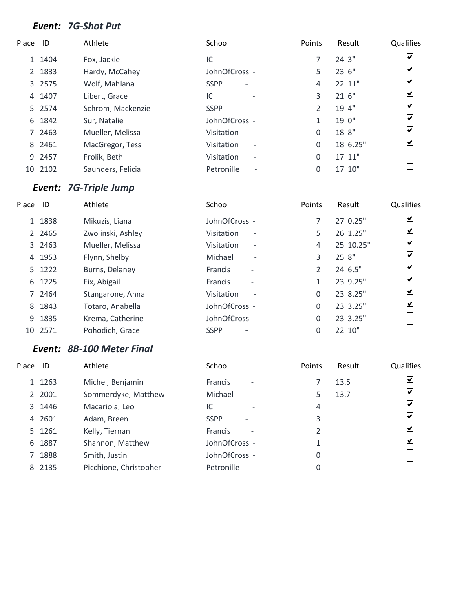#### *Event: 7G-Shot Put*

| Place ID     |         | Athlete           | School                                     | Points        | Result    | Qualifies                    |
|--------------|---------|-------------------|--------------------------------------------|---------------|-----------|------------------------------|
| $\mathbf{1}$ | 1404    | Fox, Jackie       | IC<br>$\overline{\phantom{a}}$             |               | 24'3''    | $\overline{\mathbf{v}}$      |
|              | 2 1833  | Hardy, McCahey    | JohnOfCross -                              | 5             | 23' 6"    | $\overline{\mathbf{v}}$      |
|              | 3 2575  | Wolf, Mahlana     | <b>SSPP</b><br>$\overline{\phantom{a}}$    | 4             | 22' 11"   | $\blacktriangledown$         |
| 4            | 1407    | Libert, Grace     | IC                                         | 3             | 21'6''    | $\overline{\mathbf{v}}$      |
|              | 5 2574  | Schrom, Mackenzie | <b>SSPP</b>                                | $\mathcal{P}$ | 19' 4"    | $\boxed{\checkmark}$         |
| 6            | 1842    | Sur, Natalie      | JohnOfCross -                              |               | 19'0"     | $\blacktriangledown$         |
|              | 7 2463  | Mueller, Melissa  | Visitation<br>$\overline{\phantom{a}}$     | 0             | 18'8"     | $\boxed{\blacktriangledown}$ |
| 8            | 2461    | MacGregor, Tess   | Visitation<br>$\overline{\phantom{a}}$     | 0             | 18' 6.25" | $\overline{\mathbf{v}}$      |
|              | 9 2457  | Frolik, Beth      | Visitation<br>$\qquad \qquad \blacksquare$ | 0             | 17' 11''  |                              |
|              | 10 2102 | Saunders, Felicia | Petronille<br>$\overline{\phantom{a}}$     | 0             | 17' 10"   |                              |

# *Event: 7G-Triple Jump*

| Place | ID        | Athlete           | School                                     | Points        | Result      | Qualifies               |
|-------|-----------|-------------------|--------------------------------------------|---------------|-------------|-------------------------|
|       | 1 1838    | Mikuzis, Liana    | JohnOfCross -                              |               | $27'$ 0.25" | $\overline{\mathbf{v}}$ |
|       | 2 2 4 6 5 | Zwolinski, Ashley | Visitation<br>$\overline{\phantom{a}}$     | 5             | 26' 1.25"   | $\blacktriangledown$    |
|       | 3 2463    | Mueller, Melissa  | Visitation<br>$\overline{\phantom{a}}$     | 4             | 25' 10.25"  | $\blacktriangledown$    |
|       | 4 1953    | Flynn, Shelby     | Michael<br>$\overline{\phantom{a}}$        | 3             | 25' 8"      | $\blacktriangledown$    |
|       | 5 1222    | Burns, Delaney    | <b>Francis</b><br>$\qquad \qquad$          | $\mathcal{P}$ | 24' 6.5"    | $\overline{\mathbf{v}}$ |
|       | 6 1225    | Fix, Abigail      | <b>Francis</b><br>$\overline{\phantom{a}}$ | 1             | 23' 9.25"   | $\overline{\mathbf{v}}$ |
|       | 7 2464    | Stangarone, Anna  | Visitation<br>$\overline{\phantom{a}}$     | 0             | 23' 8.25"   | $\overline{\mathbf{v}}$ |
| 8     | 1843      | Totaro, Anabella  | JohnOfCross -                              | 0             | 23' 3.25"   | $\blacktriangledown$    |
| 9     | 1835      | Krema, Catherine  | JohnOfCross -                              | 0             | 23' 3.25"   |                         |
|       | 10 2571   | Pohodich, Grace   | <b>SSPP</b>                                | 0             | 22' 10"     |                         |

## *Event: 8B-100 Meter Final*

| Place | ID     | Athlete                | School                                     | Points | Result | Qualifies               |
|-------|--------|------------------------|--------------------------------------------|--------|--------|-------------------------|
|       | 1 1263 | Michel, Benjamin       | <b>Francis</b><br>$\overline{\phantom{0}}$ |        | 13.5   | $\blacktriangledown$    |
|       | 2 2001 | Sommerdyke, Matthew    | Michael<br>$\overline{\phantom{0}}$        | 5      | 13.7   | ☑                       |
|       | 3 1446 | Macariola, Leo         | IC<br>$\overline{\phantom{0}}$             | 4      |        | $\boxed{\checkmark}$    |
|       | 4 2601 | Adam, Breen            | <b>SSPP</b><br>$\overline{\phantom{0}}$    | 3      |        | $\vert \checkmark\vert$ |
|       | 5 1261 | Kelly, Tiernan         | Francis<br>$\overline{\phantom{a}}$        |        |        | ⊻                       |
|       | 6 1887 | Shannon, Matthew       | JohnOfCross -                              |        |        | $\vert \checkmark\vert$ |
|       | 7 1888 | Smith, Justin          | JohnOfCross -                              | 0      |        |                         |
|       | 8 2135 | Picchione, Christopher | Petronille<br>$\overline{\phantom{a}}$     | 0      |        |                         |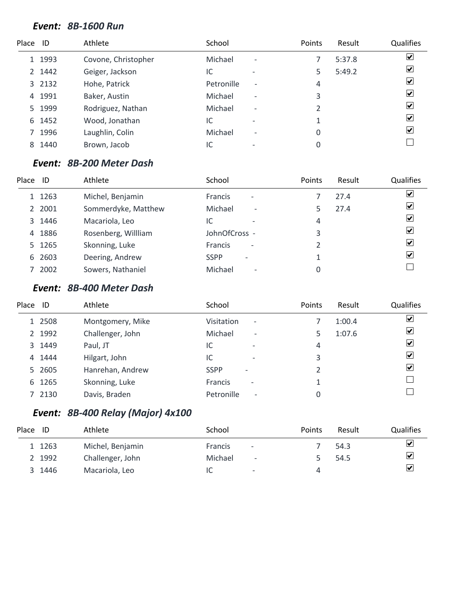#### *Event: 8B-1600 Run*

| Place ID |        | Athlete             | School     |                          | Points | Result | Qualifies               |
|----------|--------|---------------------|------------|--------------------------|--------|--------|-------------------------|
|          | 1 1993 | Covone, Christopher | Michael    | $\overline{\phantom{a}}$ |        | 5:37.8 | $\overline{\mathbf{v}}$ |
|          | 2 1442 | Geiger, Jackson     | IC         | $\overline{\phantom{0}}$ |        | 5:49.2 | $\blacktriangledown$    |
|          | 3 2132 | Hohe, Patrick       | Petronille | $\overline{\phantom{a}}$ | 4      |        | $\blacktriangledown$    |
| 4        | 1991   | Baker, Austin       | Michael    | $\overline{\phantom{a}}$ | 3      |        | $\blacktriangledown$    |
|          | 5 1999 | Rodriguez, Nathan   | Michael    | $\overline{\phantom{a}}$ | 2      |        | $\blacktriangledown$    |
| 6        | 1452   | Wood, Jonathan      | IC         | $\overline{\phantom{a}}$ |        |        | $\blacktriangledown$    |
|          | 1996   | Laughlin, Colin     | Michael    | $\overline{\phantom{a}}$ | 0      |        | $\blacktriangledown$    |
| 8        | 1440   | Brown, Jacob        | IC         |                          | 0      |        |                         |

#### *Event: 8B-200 Meter Dash*

| Place | ID     | Athlete             | School                                     | <b>Points</b> | Result | Qualifies                    |
|-------|--------|---------------------|--------------------------------------------|---------------|--------|------------------------------|
|       | 1 1263 | Michel, Benjamin    | <b>Francis</b><br>$\overline{\phantom{a}}$ |               | 27.4   | $\boxed{\blacktriangledown}$ |
|       | 2 2001 | Sommerdyke, Matthew | Michael<br>$\overline{\phantom{a}}$        |               | 27.4   | $\overline{\mathbf{v}}$      |
|       | 3 1446 | Macariola, Leo      | IC                                         | 4             |        | $\overline{\mathbf{v}}$      |
|       | 4 1886 | Rosenberg, Willliam | JohnOfCross -                              | 3             |        | $\overline{\mathbf{v}}$      |
|       | 5 1265 | Skonning, Luke      | <b>Francis</b><br>$\overline{\phantom{a}}$ |               |        | $\vert \checkmark$           |
|       | 6 2603 | Deering, Andrew     | <b>SSPP</b>                                |               |        | $\overline{\mathbf{v}}$      |
|       | 7 2002 | Sowers, Nathaniel   | Michael<br>$\overline{\phantom{a}}$        |               |        |                              |

#### *Event: 8B-400 Meter Dash*

| Place | -ID    | Athlete          | School                                        | Points | Result | Qualifies               |
|-------|--------|------------------|-----------------------------------------------|--------|--------|-------------------------|
|       | 1 2508 | Montgomery, Mike | <b>Visitation</b><br>$\overline{\phantom{a}}$ |        | 1:00.4 | ⊻                       |
|       | 2 1992 | Challenger, John | Michael<br>$\overline{\phantom{a}}$           |        | 1:07.6 | $\boxed{\checkmark}$    |
|       | 3 1449 | Paul, JT         | IC<br>$\overline{\phantom{a}}$                | 4      |        | ⊻                       |
|       | 4 1444 | Hilgart, John    | IC<br>$\overline{\phantom{a}}$                | 3      |        | $\overline{\mathbf{v}}$ |
|       | 5 2605 | Hanrehan, Andrew | <b>SSPP</b><br>$\overline{\phantom{0}}$       |        |        | ⊻                       |
|       | 6 1265 | Skonning, Luke   | <b>Francis</b><br>$\overline{\phantom{a}}$    |        |        |                         |
|       | 7 2130 | Davis, Braden    | Petronille<br>$\overline{\phantom{a}}$        |        |        |                         |

# *Event: 8B-400 Relay (Major) 4x100*

| Place | ID     | Athlete          | School                                     | Points | Result | <b>Qualifies</b>        |
|-------|--------|------------------|--------------------------------------------|--------|--------|-------------------------|
|       | 1 1263 | Michel, Benjamin | <b>Francis</b><br>$\overline{\phantom{a}}$ |        | 54.3   | ⊻                       |
|       | 2 1992 | Challenger, John | Michael<br>$\overline{\phantom{a}}$        |        | 54.5   | $\overline{\mathbf{v}}$ |
|       | 3 1446 | Macariola, Leo   | IC<br>$\overline{\phantom{0}}$             | 4      |        | $\overline{\mathbf{v}}$ |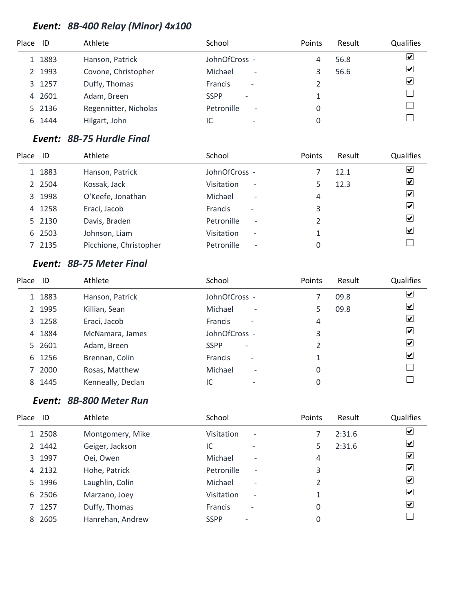# *Event: 8B-400 Relay (Minor) 4x100*

| Place ID |        | Athlete               | School                                 | Points | Result | Qualifies               |
|----------|--------|-----------------------|----------------------------------------|--------|--------|-------------------------|
|          | 1 1883 | Hanson, Patrick       | JohnOfCross -                          |        | 56.8   | ☑                       |
|          | 2 1993 | Covone, Christopher   | Michael<br>$\overline{\phantom{a}}$    |        | 56.6   | $\overline{\mathbf{v}}$ |
|          | 3 1257 | Duffy, Thomas         | Francis<br>$\overline{\phantom{a}}$    |        |        | $\overline{\mathbf{v}}$ |
|          | 4 2601 | Adam, Breen           | <b>SSPP</b>                            |        |        |                         |
|          | 5 2136 | Regennitter, Nicholas | Petronille<br>$\overline{\phantom{a}}$ |        |        |                         |
| 6        | 1444   | Hilgart, John         | $\overline{\phantom{0}}$               |        |        |                         |

# *Event: 8B-75 Hurdle Final*

| Place | ID     | Athlete                | School                                        | Points | Result | Qualifies               |
|-------|--------|------------------------|-----------------------------------------------|--------|--------|-------------------------|
|       | 1 1883 | Hanson, Patrick        | JohnOfCross -                                 |        | 12.1   | ⊻                       |
|       | 2 2504 | Kossak, Jack           | <b>Visitation</b><br>$\overline{\phantom{a}}$ |        | 12.3   | $\overline{\mathbf{v}}$ |
|       | 3 1998 | O'Keefe, Jonathan      | Michael<br>$\overline{\phantom{a}}$           | 4      |        | ⊻                       |
|       | 4 1258 | Eraci, Jacob           | <b>Francis</b><br>$\overline{\phantom{a}}$    | 3      |        | $\overline{\mathbf{v}}$ |
|       | 5 2130 | Davis, Braden          | Petronille<br>$\overline{\phantom{a}}$        |        |        | ⊻                       |
|       | 6 2503 | Johnson, Liam          | <b>Visitation</b><br>$\overline{\phantom{a}}$ |        |        | ⊻                       |
|       | 7 2135 | Picchione, Christopher | Petronille<br>$\overline{\phantom{a}}$        |        |        |                         |

# *Event: 8B-75 Meter Final*

| Place ID      |        | Athlete           | School                                     | Points         | Result | <b>Qualifies</b>        |
|---------------|--------|-------------------|--------------------------------------------|----------------|--------|-------------------------|
|               | 1 1883 | Hanson, Patrick   | JohnOfCross -                              |                | 09.8   | $\overline{\mathbf{v}}$ |
| $\mathcal{L}$ | 1995   | Killian, Sean     | Michael<br>$\overline{\phantom{a}}$        | 5              | 09.8   | $\overline{\mathbf{v}}$ |
|               | 3 1258 | Eraci, Jacob      | <b>Francis</b><br>$\overline{\phantom{a}}$ | 4              |        | ⊻                       |
| 4             | 1884   | McNamara, James   | JohnOfCross -                              | 3              |        | $\blacktriangledown$    |
|               | 5 2601 | Adam, Breen       | <b>SSPP</b><br>$\overline{\phantom{a}}$    | $\mathfrak{p}$ |        | $\blacktriangledown$    |
| 6             | 1256   | Brennan, Colin    | <b>Francis</b><br>$\overline{\phantom{a}}$ |                |        | $\vert \checkmark$      |
|               | 7 2000 | Rosas, Matthew    | Michael<br>$\overline{\phantom{a}}$        | 0              |        |                         |
| 8             | 1445   | Kenneally, Declan | IC<br>$\overline{\phantom{0}}$             | 0              |        |                         |

## *Event: 8B-800 Meter Run*

| Place | ID     | Athlete          | School                                        | Points         | Result | Qualifies                |
|-------|--------|------------------|-----------------------------------------------|----------------|--------|--------------------------|
|       | 1 2508 | Montgomery, Mike | Visitation<br>$\overline{\phantom{a}}$        |                | 2:31.6 | ⊻                        |
|       | 2 1442 | Geiger, Jackson  | IC<br>$\overline{\phantom{a}}$                | 5              | 2:31.6 | ⊻                        |
|       | 3 1997 | Oei, Owen        | Michael<br>$\overline{\phantom{a}}$           | 4              |        | ⊻                        |
|       | 4 2132 | Hohe, Patrick    | Petronille<br>$\overline{\phantom{a}}$        | 3              |        | $\vert \checkmark$       |
|       | 5 1996 | Laughlin, Colin  | Michael<br>$\overline{\phantom{0}}$           | $\mathfrak{p}$ |        | ⊻                        |
|       | 6 2506 | Marzano, Joey    | <b>Visitation</b><br>$\overline{\phantom{a}}$ |                |        | $\vert \checkmark$       |
|       | 7 1257 | Duffy, Thomas    | <b>Francis</b><br>$\overline{\phantom{a}}$    | 0              |        | $\vert \mathbf{v} \vert$ |
|       | 8 2605 | Hanrehan, Andrew | <b>SSPP</b>                                   | 0              |        |                          |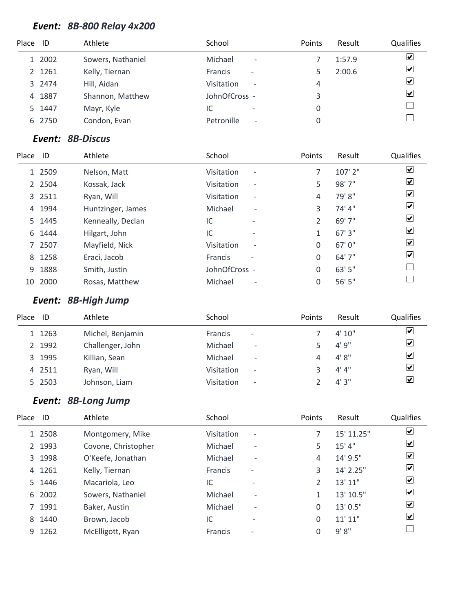# *Event: 8B-800 Relay 4x200*

| Place ID |        | Athlete           | School                                     | Points | Result | Qualifies               |
|----------|--------|-------------------|--------------------------------------------|--------|--------|-------------------------|
|          | 1 2002 | Sowers, Nathaniel | Michael<br>$\overline{\phantom{a}}$        |        | 1:57.9 | ☑                       |
|          | 2 1261 | Kelly, Tiernan    | <b>Francis</b><br>$\overline{\phantom{0}}$ |        | 2:00.6 | $\overline{\mathbf{v}}$ |
|          | 3 2474 | Hill, Aidan       | Visitation<br>$\overline{\phantom{a}}$     | 4      |        | $\overline{\mathbf{v}}$ |
| 4        | 1887   | Shannon, Matthew  | JohnOfCross -                              |        |        | $\blacktriangledown$    |
|          | 5 1447 | Mayr, Kyle        | IC<br>$\overline{\phantom{a}}$             | 0      |        |                         |
|          | 6 2750 | Condon, Evan      | Petronille<br>$\overline{\phantom{a}}$     |        |        |                         |

## *Event: 8B-Discus*

| Place | ID     | Athlete           | School                                     | Points       | Result  | Qualifies               |
|-------|--------|-------------------|--------------------------------------------|--------------|---------|-------------------------|
|       | 1 2509 | Nelson, Matt      | Visitation<br>$\overline{\phantom{a}}$     |              | 107' 2" | ☑                       |
|       | 2 2504 | Kossak, Jack      | Visitation<br>$\overline{\phantom{a}}$     | 5            | 98' 7"  | $\blacktriangledown$    |
|       | 3 2511 | Ryan, Will        | Visitation<br>$\overline{\phantom{a}}$     | 4            | 79'8"   | $\blacktriangledown$    |
|       | 4 1994 | Huntzinger, James | Michael<br>$\overline{\phantom{a}}$        | 3            | 74' 4"  | ☑                       |
|       | 5 1445 | Kenneally, Declan | IC<br>$\overline{\phantom{a}}$             | 2            | 69' 7"  | $\overline{\mathbf{v}}$ |
|       | 6 1444 | Hilgart, John     | IC                                         |              | 67'3''  | $\blacktriangleright$   |
|       | 7 2507 | Mayfield, Nick    | Visitation<br>$\overline{\phantom{a}}$     | 0            | 67'0"   | $\overline{\mathbf{v}}$ |
|       | 8 1258 | Eraci, Jacob      | <b>Francis</b><br>$\overline{\phantom{0}}$ | $\mathbf{0}$ | 64' 7"  | ☑                       |
| 9     | 1888   | Smith, Justin     | JohnOfCross -                              | 0            | 63' 5"  |                         |
| 10    | 2000   | Rosas, Matthew    | Michael<br>$\overline{\phantom{a}}$        | 0            | 56' 5"  |                         |

# *Event: 8B-High Jump*

| Place | ID     | Athlete          | School                                     | <b>Points</b> | Result | <b>Qualifies</b>        |
|-------|--------|------------------|--------------------------------------------|---------------|--------|-------------------------|
|       | 1 1263 | Michel, Benjamin | <b>Francis</b><br>$\overline{\phantom{a}}$ |               | 4'10'' | $\boxed{\checkmark}$    |
|       | 2 1992 | Challenger, John | Michael<br>$\overline{\phantom{a}}$        |               | 4' 9"  | $\overline{\mathbf{v}}$ |
|       | 3 1995 | Killian, Sean    | Michael<br>$\overline{\phantom{a}}$        |               | 4'8''  | $\overline{\mathbf{v}}$ |
|       | 4 2511 | Ryan, Will       | Visitation<br>$\overline{\phantom{a}}$     |               | 4' 4'' | $\overline{\mathbf{v}}$ |
|       | 5 2503 | Johnson, Liam    | Visitation<br>$\overline{\phantom{a}}$     |               | 4'3''  | $\overline{\mathbf{v}}$ |

# *Event: 8B-Long Jump*

| Place | ID     | Athlete             | School                                     |                          | Points         | Result     | <b>Qualifies</b>             |
|-------|--------|---------------------|--------------------------------------------|--------------------------|----------------|------------|------------------------------|
|       | 1 2508 | Montgomery, Mike    | Visitation                                 | $\overline{\phantom{a}}$ |                | 15' 11.25" | ⊻                            |
|       | 2 1993 | Covone, Christopher | Michael                                    | $\overline{\phantom{a}}$ | 5              | 15' 4''    | $ \mathbf{v} $               |
|       | 3 1998 | O'Keefe, Jonathan   | Michael                                    | $\overline{\phantom{a}}$ | 4              | 14' 9.5"   | $ \boldsymbol{v} $           |
|       | 4 1261 | Kelly, Tiernan      | <b>Francis</b><br>$\overline{\phantom{a}}$ |                          | 3              | 14' 2.25"  | ⊻                            |
|       | 5 1446 | Macariola, Leo      | IC                                         | -                        | $\mathfrak{D}$ | 13' 11"    | $ \boldsymbol{v} $           |
| 6     | 2002   | Sowers, Nathaniel   | Michael                                    | $\overline{\phantom{0}}$ | 1              | 13' 10.5"  | $\boxed{\blacktriangledown}$ |
|       | 7 1991 | Baker, Austin       | Michael                                    | $\overline{\phantom{a}}$ | 0              | 13'0.5''   | $ \boldsymbol{v} $           |
|       | 8 1440 | Brown, Jacob        | IC                                         | $\overline{\phantom{0}}$ | 0              | 11'11"     | $ \boldsymbol{v} $           |
| 9     | 1262   | McElligott, Ryan    | <b>Francis</b><br>$\qquad \qquad$          |                          | $\Omega$       | 9' 8''     |                              |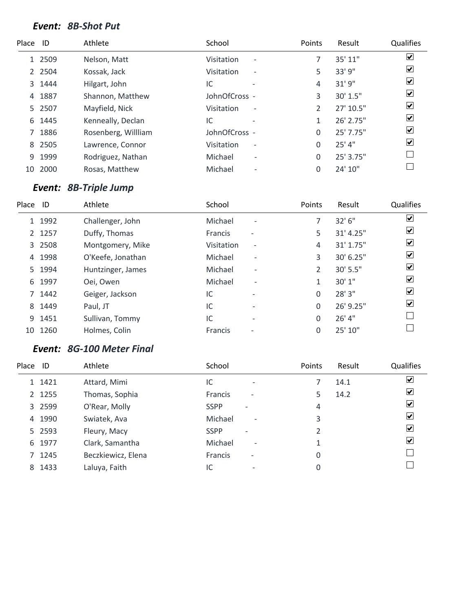#### *Event: 8B-Shot Put*

| Place ID |        | Athlete             | School            |                          | <b>Points</b>  | Result      | Qualifies                    |
|----------|--------|---------------------|-------------------|--------------------------|----------------|-------------|------------------------------|
|          | 1 2509 | Nelson, Matt        | <b>Visitation</b> | $\overline{\phantom{a}}$ |                | 35' 11"     | $\overline{\mathbf{v}}$      |
|          | 2 2504 | Kossak, Jack        | <b>Visitation</b> | $\overline{\phantom{a}}$ | 5              | 33' 9"      | $\overline{\mathbf{v}}$      |
|          | 3 1444 | Hilgart, John       | IC                |                          | 4              | 31'9''      | $\overline{\mathbf{v}}$      |
| 4        | 1887   | Shannon, Matthew    | JohnOfCross -     |                          | 3              | 30' 1.5"    | $\boxed{\blacktriangledown}$ |
|          | 5 2507 | Mayfield, Nick      | Visitation        | $\overline{\phantom{a}}$ | $\mathfrak{D}$ | 27' 10.5"   | $\overline{\mathbf{v}}$      |
| 6        | 1445   | Kenneally, Declan   | IC                |                          |                | 26' 2.75"   | $\overline{\mathbf{v}}$      |
|          | 1886   | Rosenberg, Willliam | JohnOfCross -     |                          | 0              | $25'$ 7.75" | $\overline{\mathbf{v}}$      |
| 8        | 2505   | Lawrence, Connor    | Visitation        | $\overline{\phantom{a}}$ | 0              | $25'$ 4"    | $\boxed{\blacktriangledown}$ |
| 9        | 1999   | Rodriguez, Nathan   | Michael           | $\overline{\phantom{a}}$ | 0              | 25' 3.75"   |                              |
| 10       | 2000   | Rosas, Matthew      | Michael           | $\overline{\phantom{a}}$ | 0              | 24' 10"     |                              |

# *Event: 8B-Triple Jump*

| Place | - ID   | Athlete           | School         |                          | Points | Result    | Qualifies          |
|-------|--------|-------------------|----------------|--------------------------|--------|-----------|--------------------|
|       | 1 1992 | Challenger, John  | Michael        | $\overline{\phantom{0}}$ | 7      | 32'6''    | ☑                  |
|       | 2 1257 | Duffy, Thomas     | <b>Francis</b> | $\overline{\phantom{a}}$ | 5      | 31' 4.25" | ⊻                  |
|       | 3 2508 | Montgomery, Mike  | Visitation     | $\overline{\phantom{a}}$ | 4      | 31' 1.75" | ✔                  |
| 4     | 1998   | O'Keefe, Jonathan | Michael        | $\overline{\phantom{0}}$ | 3      | 30' 6.25" | ☑                  |
| 5.    | 1994   | Huntzinger, James | Michael        | $\overline{\phantom{0}}$ | 2      | 30' 5.5"  | ⊻                  |
| 6     | 1997   | Oei, Owen         | Michael        | $\overline{\phantom{a}}$ | 1      | 30' 1"    | $ \boldsymbol{v} $ |
|       | 7 1442 | Geiger, Jackson   | IC             | $\overline{\phantom{0}}$ | 0      | 28' 3"    | ⊻                  |
| 8     | 1449   | Paul, JT          | IC             | $\overline{\phantom{0}}$ | 0      | 26' 9.25" | ☑                  |
| 9     | 1451   | Sullivan, Tommy   | IC             | $\overline{\phantom{0}}$ | 0      | 26' 4"    |                    |
| 10    | 1260   | Holmes, Colin     | Francis        |                          | 0      | 25' 10"   |                    |

## *Event: 8G-100 Meter Final*

| Place ID |        | Athlete            | School                                     | Points | Result | Qualifies            |
|----------|--------|--------------------|--------------------------------------------|--------|--------|----------------------|
|          | 1 1421 | Attard, Mimi       | IC<br>$\overline{\phantom{0}}$             |        | 14.1   | $\blacktriangledown$ |
|          | 2 1255 | Thomas, Sophia     | <b>Francis</b><br>$\overline{\phantom{a}}$ | 5      | 14.2   | $\boxed{\checkmark}$ |
|          | 3 2599 | O'Rear, Molly      | <b>SSPP</b><br>$\overline{\phantom{0}}$    | 4      |        | ☑                    |
|          | 4 1990 | Swiatek, Ava       | Michael<br>$\overline{\phantom{a}}$        | 3      |        | ⊻                    |
|          | 5 2593 | Fleury, Macy       | <b>SSPP</b><br>$\overline{\phantom{a}}$    | 2      |        | ⊻                    |
|          | 6 1977 | Clark, Samantha    | Michael<br>$\overline{\phantom{a}}$        |        |        | ⊻                    |
|          | 7 1245 | Beczkiewicz, Elena | Francis<br>$\overline{\phantom{a}}$        | 0      |        |                      |
|          | 8 1433 | Laluya, Faith      | IC<br>$\overline{\phantom{0}}$             | 0      |        |                      |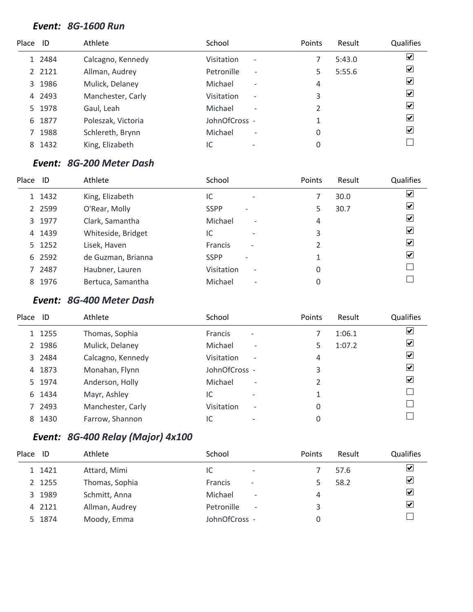#### *Event: 8G-1600 Run*

| Place ID |           | Athlete            | School                                            | Points | Result | <b>Qualifies</b>        |
|----------|-----------|--------------------|---------------------------------------------------|--------|--------|-------------------------|
|          | 1 2484    | Calcagno, Kennedy  | <b>Visitation</b><br>$\qquad \qquad \blacksquare$ |        | 5:43.0 | $\blacktriangledown$    |
|          | 2 2 1 2 1 | Allman, Audrey     | Petronille<br>$\overline{\phantom{a}}$            |        | 5:55.6 | $\blacktriangledown$    |
|          | 3 1986    | Mulick, Delaney    | Michael<br>$\overline{\phantom{a}}$               | 4      |        | $\overline{\mathbf{v}}$ |
|          | 4 2493    | Manchester, Carly  | <b>Visitation</b><br>$\overline{\phantom{a}}$     | 3      |        | $\blacktriangledown$    |
|          | 5 1978    | Gaul, Leah         | Michael<br>$\overline{\phantom{a}}$               | 2      |        | $\blacktriangledown$    |
| 6        | 1877      | Poleszak, Victoria | JohnOfCross -                                     |        |        | $\blacktriangledown$    |
|          | 1988      | Schlereth, Brynn   | Michael<br>$\overline{\phantom{a}}$               | 0      |        | $\blacktriangledown$    |
| 8        | 1432      | King, Elizabeth    | IC                                                | 0      |        |                         |

#### *Event: 8G-200 Meter Dash*

| Place | ID        | Athlete            | School                                        | Points | Result | <b>Qualifies</b>     |
|-------|-----------|--------------------|-----------------------------------------------|--------|--------|----------------------|
|       | 1 1432    | King, Elizabeth    | IC<br>$\overline{\phantom{a}}$                |        | 30.0   | $\blacktriangledown$ |
|       | 2 2 5 9 9 | O'Rear, Molly      | <b>SSPP</b>                                   | 5.     | 30.7   | $\blacktriangledown$ |
|       | 3 1977    | Clark, Samantha    | Michael<br>$\overline{\phantom{0}}$           | 4      |        | $\blacktriangledown$ |
|       | 4 1439    | Whiteside, Bridget | IC<br>$\overline{\phantom{a}}$                | 3      |        | $\blacktriangledown$ |
|       | 5 1252    | Lisek, Haven       | <b>Francis</b><br>$\overline{\phantom{a}}$    |        |        | $\blacktriangledown$ |
|       | 6 2592    | de Guzman, Brianna | <b>SSPP</b>                                   |        |        | $\blacktriangledown$ |
|       | 7 2487    | Haubner, Lauren    | <b>Visitation</b><br>$\overline{\phantom{a}}$ | 0      |        |                      |
|       | 8 1976    | Bertuca, Samantha  | Michael<br>$\overline{\phantom{a}}$           |        |        |                      |

#### *Event: 8G-400 Meter Dash*

| Place | ID     | Athlete           | School                                     | Points | Result | Qualifies                              |
|-------|--------|-------------------|--------------------------------------------|--------|--------|----------------------------------------|
|       | 1 1255 | Thomas, Sophia    | <b>Francis</b><br>$\overline{\phantom{a}}$ |        | 1:06.1 | $\overline{\mathbf{v}}$                |
|       | 2 1986 | Mulick, Delaney   | Michael<br>$\overline{\phantom{a}}$        | 5      | 1:07.2 | ⊻                                      |
|       | 3 2484 | Calcagno, Kennedy | Visitation<br>$\overline{\phantom{a}}$     | 4      |        | ⊻                                      |
|       | 4 1873 | Monahan, Flynn    | JohnOfCross -                              | 3      |        | $\left \boldsymbol{v}\right $          |
|       | 5 1974 | Anderson, Holly   | Michael<br>$\overline{\phantom{0}}$        | っ      |        | $\left \boldsymbol{\mathsf{v}}\right $ |
|       | 6 1434 | Mayr, Ashley      | IC<br>$\overline{\phantom{0}}$             |        |        |                                        |
|       | 7 2493 | Manchester, Carly | Visitation<br>$\overline{\phantom{a}}$     | 0      |        |                                        |
|       | 8 1430 | Farrow, Shannon   | IC                                         | 0      |        |                                        |

# *Event: 8G-400 Relay (Major) 4x100*

| Place ID |        | Athlete        | School                                     | <b>Points</b> | Result | Qualifies |
|----------|--------|----------------|--------------------------------------------|---------------|--------|-----------|
|          | 1 1421 | Attard, Mimi   | IC<br>$\overline{\phantom{0}}$             |               | 57.6   | ⊻         |
|          | 2 1255 | Thomas, Sophia | <b>Francis</b><br>$\overline{\phantom{a}}$ |               | 58.2   | ⊻         |
|          | 3 1989 | Schmitt, Anna  | Michael<br>$\overline{\phantom{a}}$        | 4             |        | ⊻         |
|          | 4 2121 | Allman, Audrey | Petronille<br>$\overline{\phantom{a}}$     | 3             |        | ⊻         |
|          | 5 1874 | Moody, Emma    | JohnOfCross -                              |               |        |           |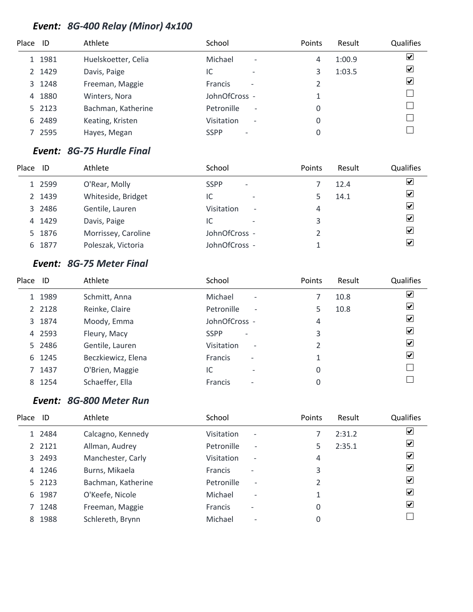# *Event: 8G-400 Relay (Minor) 4x100*

| Place ID |        | Athlete             | School                                        | Points | Result | <b>Qualifies</b>        |
|----------|--------|---------------------|-----------------------------------------------|--------|--------|-------------------------|
|          | 1 1981 | Huelskoetter, Celia | Michael<br>$\overline{\phantom{a}}$           | 4      | 1:00.9 | $\blacktriangledown$    |
|          | 2 1429 | Davis, Paige        | IC<br>$\overline{\phantom{0}}$                |        | 1:03.5 | $\overline{\mathbf{v}}$ |
|          | 3 1248 | Freeman, Maggie     | <b>Francis</b><br>$\overline{\phantom{a}}$    |        |        | $\blacktriangledown$    |
| 4        | 1880   | Winters, Nora       | JohnOfCross -                                 |        |        |                         |
|          | 5 2123 | Bachman, Katherine  | Petronille<br>$\overline{\phantom{a}}$        | 0      |        |                         |
|          | 6 2489 | Keating, Kristen    | <b>Visitation</b><br>$\overline{\phantom{a}}$ | 0      |        |                         |
|          | 7 2595 | Hayes, Megan        | <b>SSPP</b>                                   | 0      |        |                         |

# *Event: 8G-75 Hurdle Final*

| Place | ID     | Athlete             | School                                  | <b>Points</b> | Result | Qualifies               |
|-------|--------|---------------------|-----------------------------------------|---------------|--------|-------------------------|
|       | 1 2599 | O'Rear, Molly       | <b>SSPP</b><br>$\overline{\phantom{a}}$ |               | 12.4   | $\overline{\mathbf{v}}$ |
|       | 2 1439 | Whiteside, Bridget  | IC<br>$\overline{\phantom{0}}$          |               | 14.1   | $\overline{\mathbf{v}}$ |
|       | 3 2486 | Gentile, Lauren     | Visitation<br>$\overline{\phantom{a}}$  | 4             |        | $\overline{\mathbf{v}}$ |
|       | 4 1429 | Davis, Paige        | IC                                      | 3             |        | $\overline{\mathbf{v}}$ |
|       | 5 1876 | Morrissey, Caroline | JohnOfCross -                           |               |        | $\blacktriangledown$    |
|       | 6 1877 | Poleszak, Victoria  | JohnOfCross -                           |               |        | $\blacktriangledown$    |

#### *Event: 8G-75 Meter Final*

| Place ID |           | Athlete            | School                                     | Points | Result | <b>Qualifies</b>             |
|----------|-----------|--------------------|--------------------------------------------|--------|--------|------------------------------|
|          | 1 1989    | Schmitt, Anna      | Michael<br>$\overline{\phantom{a}}$        |        | 10.8   | $\boxed{\blacktriangledown}$ |
|          | 2 2 1 2 8 | Reinke, Claire     | Petronille<br>$\overline{\phantom{a}}$     | 5.     | 10.8   | $\overline{\mathbf{v}}$      |
|          | 3 1874    | Moody, Emma        | JohnOfCross -                              | 4      |        | ⊻                            |
|          | 4 2593    | Fleury, Macy       | <b>SSPP</b><br>$\overline{\phantom{a}}$    | 3      |        | $\blacktriangledown$         |
|          | 5 2486    | Gentile, Lauren    | Visitation<br>$\overline{\phantom{a}}$     |        |        | ⊻                            |
|          | 6 1245    | Beczkiewicz, Elena | <b>Francis</b><br>$\overline{\phantom{a}}$ | 1      |        | ⊻                            |
|          | 7 1437    | O'Brien, Maggie    | IC<br>$\overline{\phantom{a}}$             | 0      |        |                              |
| 8        | 1254      | Schaeffer, Ella    | <b>Francis</b><br>$\overline{\phantom{0}}$ | 0      |        |                              |

#### *Event: 8G-800 Meter Run*

| Place | ID        | Athlete            | School                                     | Points         | Result | Qualifies          |
|-------|-----------|--------------------|--------------------------------------------|----------------|--------|--------------------|
|       | 1 2484    | Calcagno, Kennedy  | Visitation<br>$\overline{\phantom{a}}$     |                | 2:31.2 | $\vert \checkmark$ |
|       | 2 2 1 2 1 | Allman, Audrey     | Petronille<br>$\overline{\phantom{a}}$     | 5              | 2:35.1 | $ \mathbf{v} $     |
|       | 3 2493    | Manchester, Carly  | Visitation<br>$\overline{\phantom{a}}$     | 4              |        | $ \mathbf{v} $     |
|       | 4 1246    | Burns, Mikaela     | <b>Francis</b><br>$\overline{\phantom{0}}$ | 3              |        | $ \mathbf{v} $     |
|       | 5 2123    | Bachman, Katherine | Petronille<br>$\overline{\phantom{a}}$     | $\mathfrak{p}$ |        | $ \mathbf{v} $     |
|       | 6 1987    | O'Keefe, Nicole    | Michael<br>$\overline{\phantom{a}}$        |                |        | $ \mathbf{v} $     |
|       | 7 1248    | Freeman, Maggie    | <b>Francis</b><br>$\overline{\phantom{0}}$ | 0              |        | $ \boldsymbol{v} $ |
| 8     | 1988      | Schlereth, Brynn   | Michael                                    | 0              |        |                    |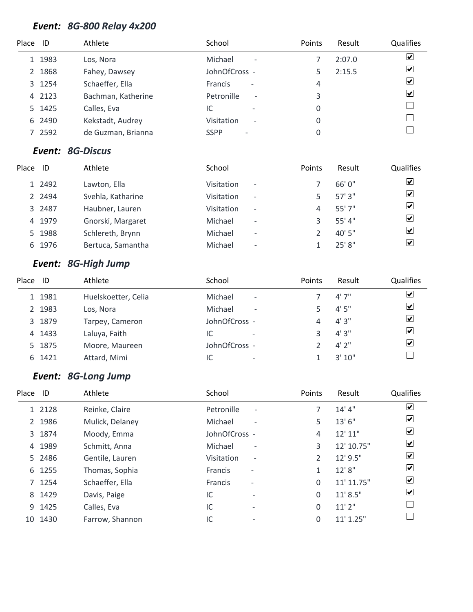# *Event: 8G-800 Relay 4x200*

| Place ID |        | Athlete            | School                                        | Points | Result | <b>Qualifies</b>     |
|----------|--------|--------------------|-----------------------------------------------|--------|--------|----------------------|
|          | 1 1983 | Los, Nora          | Michael<br>$\overline{\phantom{a}}$           |        | 2:07.0 | $\blacktriangledown$ |
|          | 2 1868 | Fahey, Dawsey      | JohnOfCross -                                 |        | 2:15.5 | $\blacktriangledown$ |
|          | 3 1254 | Schaeffer, Ella    | <b>Francis</b><br>$\overline{\phantom{a}}$    | 4      |        | $\blacktriangledown$ |
|          | 4 2123 | Bachman, Katherine | Petronille<br>$\overline{\phantom{a}}$        | 3      |        | $\blacktriangledown$ |
|          | 5 1425 | Calles, Eva        | IC<br>$\overline{\phantom{0}}$                | 0      |        |                      |
|          | 6 2490 | Kekstadt, Audrey   | <b>Visitation</b><br>$\overline{\phantom{a}}$ | 0      |        |                      |
|          | 7 2592 | de Guzman, Brianna | <b>SSPP</b>                                   | 0      |        |                      |

#### *Event: 8G-Discus*

| Place | ID        | Athlete           | School                                        | Points | Result  | Qualifies               |
|-------|-----------|-------------------|-----------------------------------------------|--------|---------|-------------------------|
|       | 1 2492    | Lawton, Ella      | <b>Visitation</b><br>$\overline{\phantom{a}}$ |        | 66'0''  | ☑                       |
|       | 2 2 4 9 4 | Svehla, Katharine | <b>Visitation</b><br>$\overline{\phantom{a}}$ |        | 57'3''  | $\blacktriangledown$    |
|       | 3 2487    | Haubner, Lauren   | Visitation<br>$\overline{\phantom{a}}$        | 4      | 55'7''  | $\overline{\mathbf{v}}$ |
|       | 4 1979    | Gnorski, Margaret | Michael<br>$\overline{\phantom{a}}$           |        | 55' 4'' | $\overline{\mathbf{v}}$ |
|       | 5 1988    | Schlereth, Brynn  | Michael<br>$\overline{\phantom{a}}$           |        | 40'5"   | $\overline{\mathbf{v}}$ |
|       | 6 1976    | Bertuca, Samantha | Michael<br>$\overline{\phantom{a}}$           |        | 25' 8"  | ⊻                       |

# *Event: 8G-High Jump*

| Place | ID     | Athlete             | School                              | Points | Result | <b>Qualifies</b>        |
|-------|--------|---------------------|-------------------------------------|--------|--------|-------------------------|
|       | 1 1981 | Huelskoetter, Celia | Michael<br>$\overline{\phantom{a}}$ |        | 4'7''  | $\overline{\mathbf{v}}$ |
|       | 2 1983 | Los, Nora           | Michael<br>$\overline{\phantom{a}}$ |        | 4'5''  | $\overline{\mathbf{v}}$ |
|       | 3 1879 | Tarpey, Cameron     | JohnOfCross -                       | 4      | 4'3''  | $\overline{\mathbf{v}}$ |
|       | 4 1433 | Laluya, Faith       | IC<br>$\overline{\phantom{0}}$      |        | 4'3''  | $\blacktriangledown$    |
|       | 5 1875 | Moore, Maureen      | JohnOfCross -                       |        | 4'2''  | $\overline{\mathbf{v}}$ |
|       | 6 1421 | Attard, Mimi        | IC<br>$\overline{\phantom{0}}$      |        | 3'10'' |                         |

#### *Event: 8G-Long Jump*

| Place | ID     | Athlete         | School         |                          | Points   | Result      | Qualifies                    |
|-------|--------|-----------------|----------------|--------------------------|----------|-------------|------------------------------|
|       | 1 2128 | Reinke, Claire  | Petronille     | $\overline{\phantom{a}}$ |          | 14' 4''     | $\boxed{\blacktriangledown}$ |
|       | 2 1986 | Mulick, Delaney | Michael        | $\overline{\phantom{a}}$ | 5        | 13'6"       | $\blacktriangledown$         |
|       | 3 1874 | Moody, Emma     | JohnOfCross -  |                          | 4        | 12'11''     | $\overline{\mathbf{v}}$      |
|       | 4 1989 | Schmitt, Anna   | Michael        | $\overline{\phantom{a}}$ | 3        | 12' 10.75"  | $\overline{\mathbf{v}}$      |
|       | 5 2486 | Gentile, Lauren | Visitation     | $\overline{\phantom{a}}$ | 2        | 12' 9.5"    | $\overline{\mathbf{v}}$      |
|       | 6 1255 | Thomas, Sophia  | <b>Francis</b> | $\overline{\phantom{a}}$ | 1        | 12' 8''     | $\blacktriangledown$         |
|       | 7 1254 | Schaeffer, Ella | Francis        | $\overline{\phantom{a}}$ | $\Omega$ | 11' 11.75"  | $\overline{\mathbf{v}}$      |
|       | 8 1429 | Davis, Paige    | IC             |                          | $\Omega$ | 11' 8.5''   | $\overline{\mathbf{v}}$      |
|       | 9 1425 | Calles, Eva     | IC             | $\overline{\phantom{0}}$ | $\Omega$ | 11'2''      |                              |
| 10    | 1430   | Farrow, Shannon | IC             |                          | 0        | $11'$ 1.25" |                              |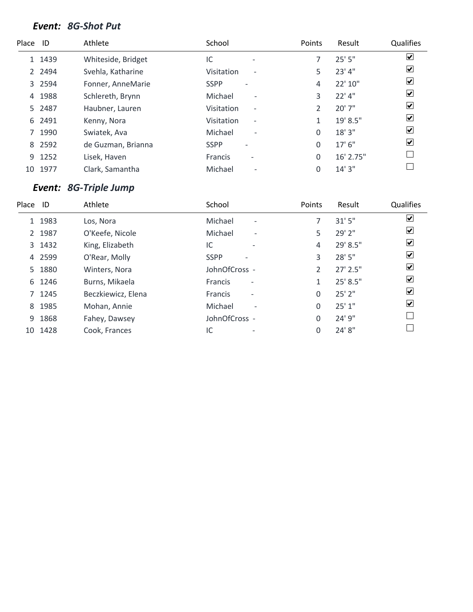#### *Event: 8G-Shot Put*

| Place ID |        | Athlete            | School                                     | Points   | Result    | Qualifies                    |
|----------|--------|--------------------|--------------------------------------------|----------|-----------|------------------------------|
|          | 1 1439 | Whiteside, Bridget | IC<br>$\overline{\phantom{a}}$             |          | 25'5''    | $\overline{\mathbf{v}}$      |
|          | 2 2494 | Svehla, Katharine  | Visitation<br>$\overline{\phantom{a}}$     | 5.       | 23' 4"    | $\overline{\mathbf{v}}$      |
|          | 3 2594 | Fonner, AnneMarie  | <b>SSPP</b>                                | 4        | 22' 10"   | $\blacktriangledown$         |
| 4        | 1988   | Schlereth, Brynn   | Michael<br>$\overline{\phantom{a}}$        | 3        | $22'$ 4"  | ☑                            |
|          | 5 2487 | Haubner, Lauren    | Visitation<br>$\overline{\phantom{a}}$     | 2        | 20' 7"    | $\blacktriangledown$         |
| 6        | 2491   | Kenny, Nora        | Visitation<br>$\overline{\phantom{a}}$     |          | 19' 8.5"  | ☑                            |
|          | 7 1990 | Swiatek, Ava       | Michael<br>$\overline{\phantom{a}}$        | 0        | 18'3''    | $\boxed{\blacktriangledown}$ |
|          | 8 2592 | de Guzman, Brianna | <b>SSPP</b>                                | $\Omega$ | $17'$ 6"  | $\boxed{\blacktriangledown}$ |
|          | 9 1252 | Lisek, Haven       | <b>Francis</b><br>$\overline{\phantom{a}}$ | $\Omega$ | 16' 2.75" |                              |
| 10       | 1977   | Clark, Samantha    | Michael<br>$\overline{\phantom{a}}$        | 0        | 14'3''    |                              |

# *Event: 8G-Triple Jump*

| Place | ID     | Athlete            | School                                     | <b>Points</b>  | Result      | <b>Qualifies</b>        |
|-------|--------|--------------------|--------------------------------------------|----------------|-------------|-------------------------|
|       | 1 1983 | Los, Nora          | Michael<br>$\overline{\phantom{a}}$        |                | 31'5''      | ⊻                       |
|       | 2 1987 | O'Keefe, Nicole    | Michael<br>$\overline{\phantom{a}}$        | 5              | 29' 2"      | $\blacktriangledown$    |
|       | 3 1432 | King, Elizabeth    | IC<br>$\overline{\phantom{0}}$             | 4              | 29' 8.5"    | ☑                       |
|       | 4 2599 | O'Rear, Molly      | <b>SSPP</b>                                | 3              | 28' 5"      | ☑                       |
|       | 5 1880 | Winters, Nora      | JohnOfCross -                              | $\mathfrak{D}$ | $27'$ 2.5"  | $\overline{\mathbf{v}}$ |
|       | 6 1246 | Burns, Mikaela     | Francis<br>$\overline{\phantom{a}}$        | 1              | 25' 8.5"    | ⊻                       |
|       | 7 1245 | Beczkiewicz, Elena | <b>Francis</b><br>$\overline{\phantom{a}}$ | 0              | $25'$ $2''$ | $\vert \checkmark\vert$ |
| 8     | 1985   | Mohan, Annie       | Michael<br>$\overline{\phantom{a}}$        | 0              | 25'1"       | ☑                       |
|       | 9 1868 | Fahey, Dawsey      | JohnOfCross -                              | 0              | 24' 9"      |                         |
| 10    | 1428   | Cook, Frances      | IC                                         | 0              | 24' 8"      |                         |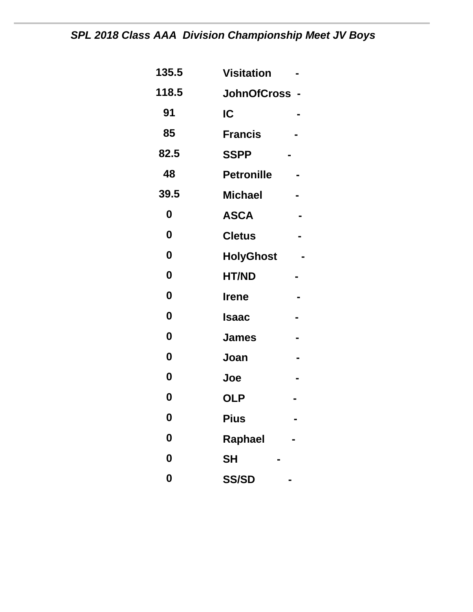# *SPL 2018 Class AAA Division Championship Meet JV Boys*

| 135.5            | <b>Visitation</b> |  |
|------------------|-------------------|--|
| 118.5            | JohnOfCross -     |  |
| 91               | IC                |  |
| 85               | <b>Francis</b>    |  |
| 82.5             | <b>SSPP</b>       |  |
| 48               | <b>Petronille</b> |  |
| 39.5             | <b>Michael</b>    |  |
| 0                | <b>ASCA</b>       |  |
| 0                | <b>Cletus</b>     |  |
| 0                | <b>HolyGhost</b>  |  |
| 0                | <b>HT/ND</b>      |  |
| $\boldsymbol{0}$ | <b>Irene</b>      |  |
| $\boldsymbol{0}$ | Isaac             |  |
| $\boldsymbol{0}$ | <b>James</b>      |  |
| 0                | Joan              |  |
| $\boldsymbol{0}$ | Joe               |  |
| 0                | <b>OLP</b>        |  |
| 0                | <b>Pius</b>       |  |
| 0                | Raphael           |  |
| $\boldsymbol{0}$ | <b>SH</b>         |  |
| $\boldsymbol{0}$ | <b>SS/SD</b>      |  |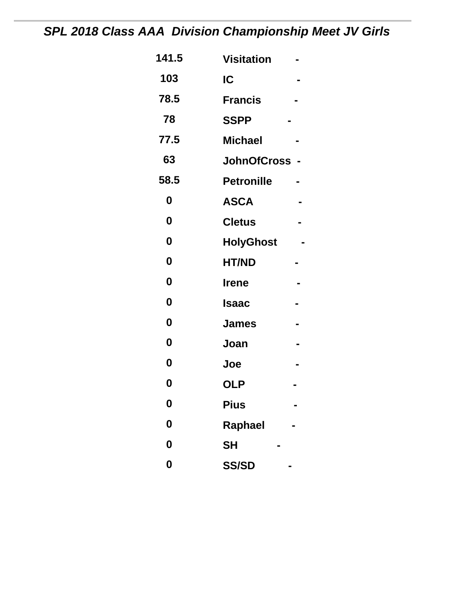# *SPL 2018 Class AAA Division Championship Meet JV Girls*

| 141.5            | <b>Visitation</b> |  |
|------------------|-------------------|--|
| 103              | IC                |  |
| 78.5             | <b>Francis</b>    |  |
| 78               | <b>SSPP</b>       |  |
| 77.5             | <b>Michael</b>    |  |
| 63               | JohnOfCross -     |  |
| 58.5             | <b>Petronille</b> |  |
| 0                | <b>ASCA</b>       |  |
| $\boldsymbol{0}$ | <b>Cletus</b>     |  |
| $\boldsymbol{0}$ | <b>HolyGhost</b>  |  |
| 0                | <b>HT/ND</b>      |  |
| $\boldsymbol{0}$ | <b>Irene</b>      |  |
| $\boldsymbol{0}$ | Isaac             |  |
| 0                | <b>James</b>      |  |
| 0                | Joan              |  |
| $\boldsymbol{0}$ | Joe               |  |
| 0                | <b>OLP</b>        |  |
| 0                | <b>Pius</b>       |  |
| 0                | Raphael           |  |
| $\boldsymbol{0}$ | <b>SH</b>         |  |
| 0                | <b>SS/SD</b>      |  |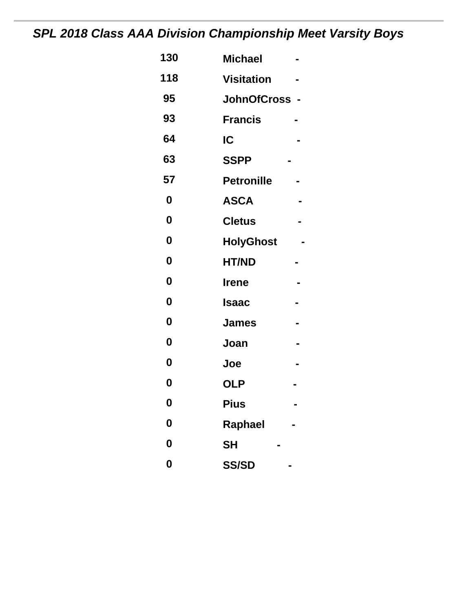# *SPL 2018 Class AAA Division Championship Meet Varsity Boys*

| 130              | <b>Michael</b>    |  |
|------------------|-------------------|--|
| 118              | <b>Visitation</b> |  |
| 95               | JohnOfCross -     |  |
| 93               | <b>Francis</b>    |  |
| 64               | IC                |  |
| 63               | <b>SSPP</b>       |  |
| 57               | <b>Petronille</b> |  |
| 0                | <b>ASCA</b>       |  |
| $\boldsymbol{0}$ | <b>Cletus</b>     |  |
| $\boldsymbol{0}$ | <b>HolyGhost</b>  |  |
| 0                | <b>HT/ND</b>      |  |
| 0                | <b>Irene</b>      |  |
| 0                | <b>Isaac</b>      |  |
| 0                | <b>James</b>      |  |
| $\boldsymbol{0}$ | Joan              |  |
| 0                | Joe               |  |
| 0                | <b>OLP</b>        |  |
| 0                | <b>Pius</b>       |  |
| 0                | Raphael           |  |
| $\boldsymbol{0}$ | <b>SH</b>         |  |
| $\boldsymbol{0}$ | <b>SS/SD</b>      |  |